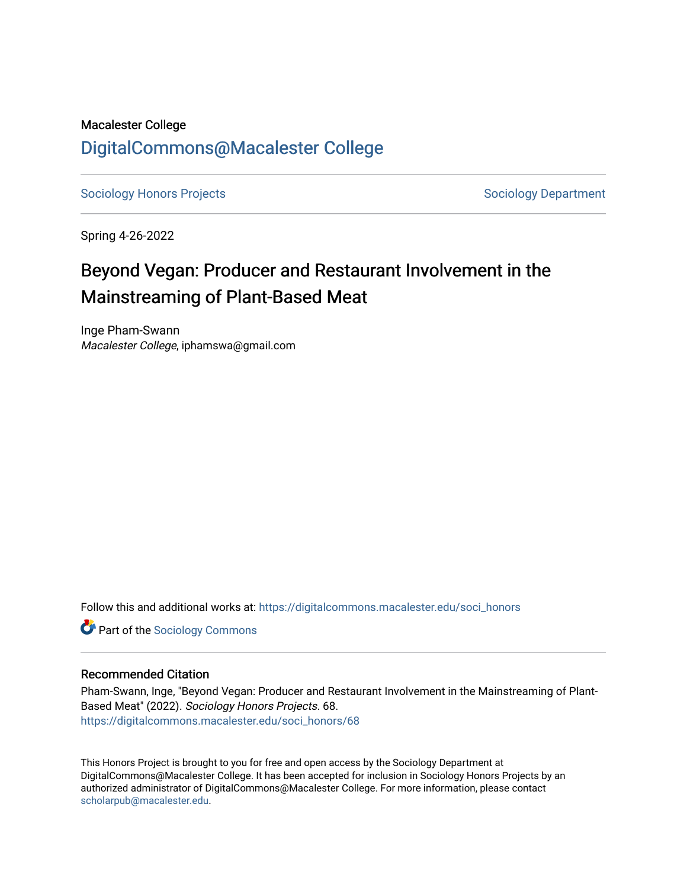# Macalester College [DigitalCommons@Macalester College](https://digitalcommons.macalester.edu/)

[Sociology Honors Projects](https://digitalcommons.macalester.edu/soci_honors) **Sociology Department** 

Spring 4-26-2022

# Beyond Vegan: Producer and Restaurant Involvement in the Mainstreaming of Plant-Based Meat

Inge Pham-Swann Macalester College, iphamswa@gmail.com

Follow this and additional works at: [https://digitalcommons.macalester.edu/soci\\_honors](https://digitalcommons.macalester.edu/soci_honors?utm_source=digitalcommons.macalester.edu%2Fsoci_honors%2F68&utm_medium=PDF&utm_campaign=PDFCoverPages)

**Part of the [Sociology Commons](https://network.bepress.com/hgg/discipline/416?utm_source=digitalcommons.macalester.edu%2Fsoci_honors%2F68&utm_medium=PDF&utm_campaign=PDFCoverPages)** 

# Recommended Citation

Pham-Swann, Inge, "Beyond Vegan: Producer and Restaurant Involvement in the Mainstreaming of Plant-Based Meat" (2022). Sociology Honors Projects. 68. [https://digitalcommons.macalester.edu/soci\\_honors/68](https://digitalcommons.macalester.edu/soci_honors/68?utm_source=digitalcommons.macalester.edu%2Fsoci_honors%2F68&utm_medium=PDF&utm_campaign=PDFCoverPages) 

This Honors Project is brought to you for free and open access by the Sociology Department at DigitalCommons@Macalester College. It has been accepted for inclusion in Sociology Honors Projects by an authorized administrator of DigitalCommons@Macalester College. For more information, please contact [scholarpub@macalester.edu](mailto:scholarpub@macalester.edu).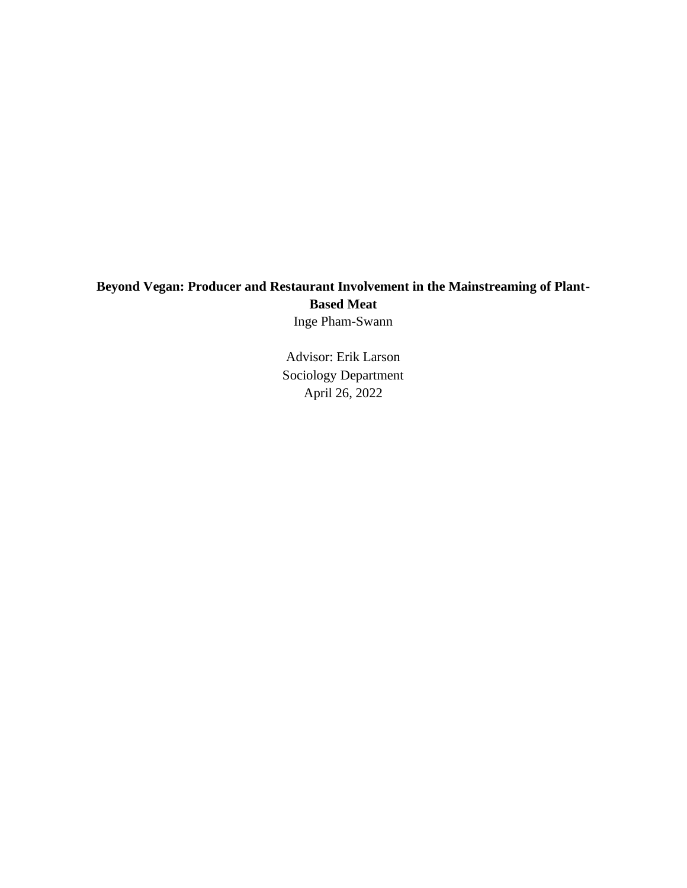# **Beyond Vegan: Producer and Restaurant Involvement in the Mainstreaming of Plant-Based Meat**

Inge Pham-Swann

Advisor: Erik Larson Sociology Department April 26, 2022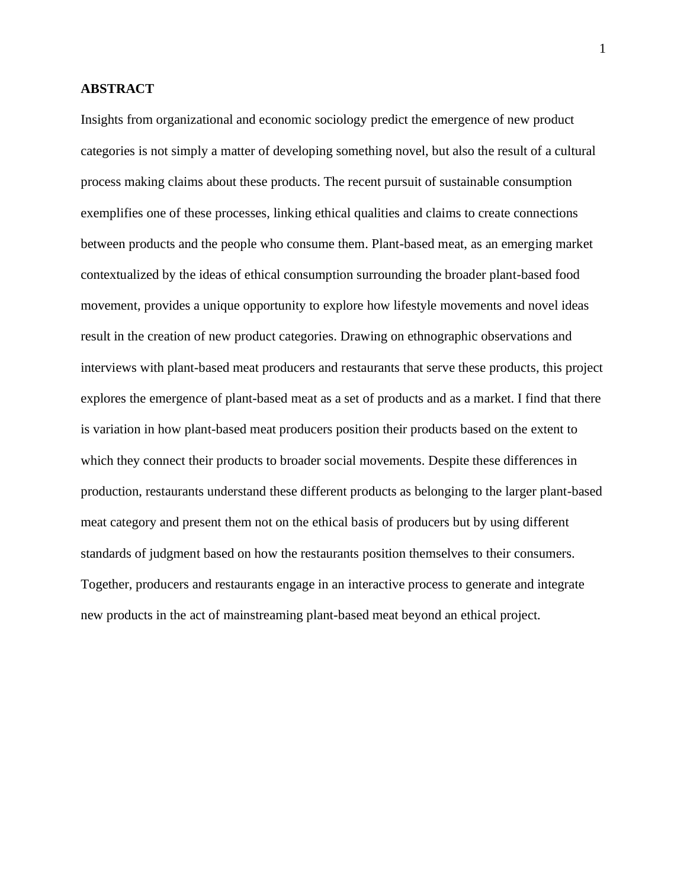# **ABSTRACT**

Insights from organizational and economic sociology predict the emergence of new product categories is not simply a matter of developing something novel, but also the result of a cultural process making claims about these products. The recent pursuit of sustainable consumption exemplifies one of these processes, linking ethical qualities and claims to create connections between products and the people who consume them. Plant-based meat, as an emerging market contextualized by the ideas of ethical consumption surrounding the broader plant-based food movement, provides a unique opportunity to explore how lifestyle movements and novel ideas result in the creation of new product categories. Drawing on ethnographic observations and interviews with plant-based meat producers and restaurants that serve these products, this project explores the emergence of plant-based meat as a set of products and as a market. I find that there is variation in how plant-based meat producers position their products based on the extent to which they connect their products to broader social movements. Despite these differences in production, restaurants understand these different products as belonging to the larger plant-based meat category and present them not on the ethical basis of producers but by using different standards of judgment based on how the restaurants position themselves to their consumers. Together, producers and restaurants engage in an interactive process to generate and integrate new products in the act of mainstreaming plant-based meat beyond an ethical project.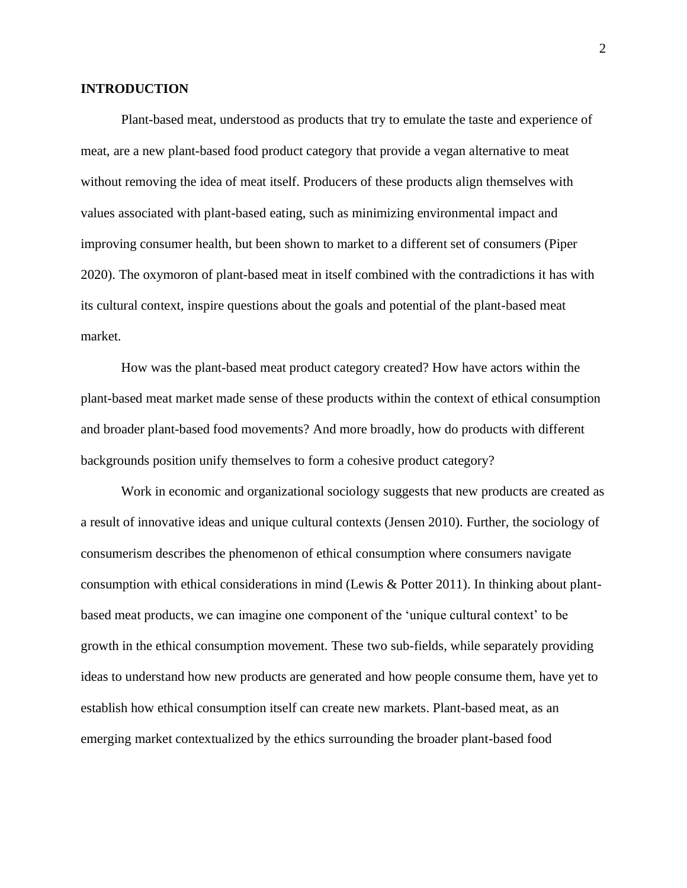# **INTRODUCTION**

Plant-based meat, understood as products that try to emulate the taste and experience of meat, are a new plant-based food product category that provide a vegan alternative to meat without removing the idea of meat itself. Producers of these products align themselves with values associated with plant-based eating, such as minimizing environmental impact and improving consumer health, but been shown to market to a different set of consumers (Piper 2020). The oxymoron of plant-based meat in itself combined with the contradictions it has with its cultural context, inspire questions about the goals and potential of the plant-based meat market.

How was the plant-based meat product category created? How have actors within the plant-based meat market made sense of these products within the context of ethical consumption and broader plant-based food movements? And more broadly, how do products with different backgrounds position unify themselves to form a cohesive product category?

Work in economic and organizational sociology suggests that new products are created as a result of innovative ideas and unique cultural contexts (Jensen 2010). Further, the sociology of consumerism describes the phenomenon of ethical consumption where consumers navigate consumption with ethical considerations in mind (Lewis & Potter 2011). In thinking about plantbased meat products, we can imagine one component of the 'unique cultural context' to be growth in the ethical consumption movement. These two sub-fields, while separately providing ideas to understand how new products are generated and how people consume them, have yet to establish how ethical consumption itself can create new markets. Plant-based meat, as an emerging market contextualized by the ethics surrounding the broader plant-based food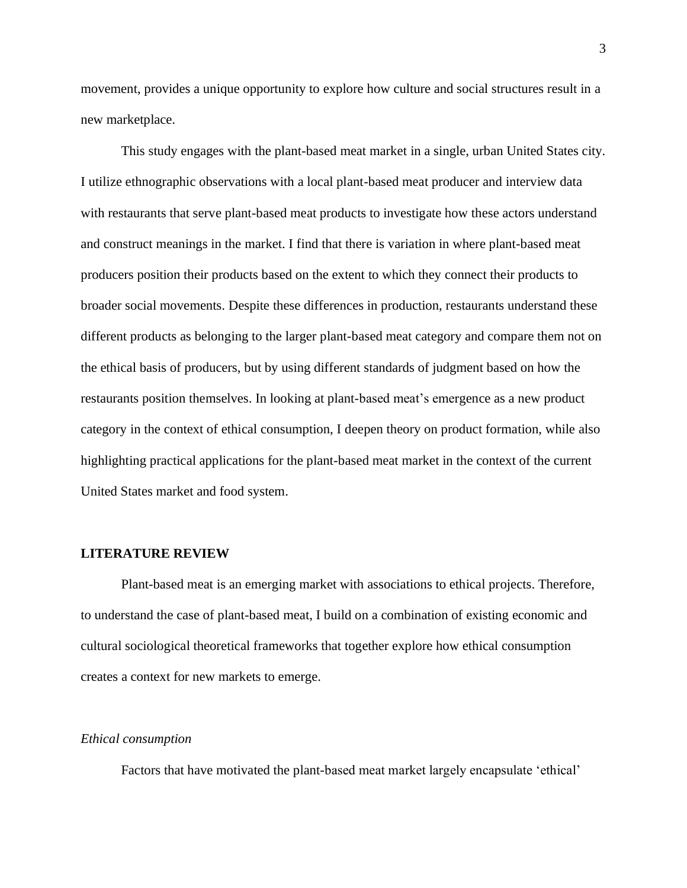movement, provides a unique opportunity to explore how culture and social structures result in a new marketplace.

This study engages with the plant-based meat market in a single, urban United States city. I utilize ethnographic observations with a local plant-based meat producer and interview data with restaurants that serve plant-based meat products to investigate how these actors understand and construct meanings in the market. I find that there is variation in where plant-based meat producers position their products based on the extent to which they connect their products to broader social movements. Despite these differences in production, restaurants understand these different products as belonging to the larger plant-based meat category and compare them not on the ethical basis of producers, but by using different standards of judgment based on how the restaurants position themselves. In looking at plant-based meat's emergence as a new product category in the context of ethical consumption, I deepen theory on product formation, while also highlighting practical applications for the plant-based meat market in the context of the current United States market and food system.

#### **LITERATURE REVIEW**

Plant-based meat is an emerging market with associations to ethical projects. Therefore, to understand the case of plant-based meat, I build on a combination of existing economic and cultural sociological theoretical frameworks that together explore how ethical consumption creates a context for new markets to emerge.

#### *Ethical consumption*

Factors that have motivated the plant-based meat market largely encapsulate 'ethical'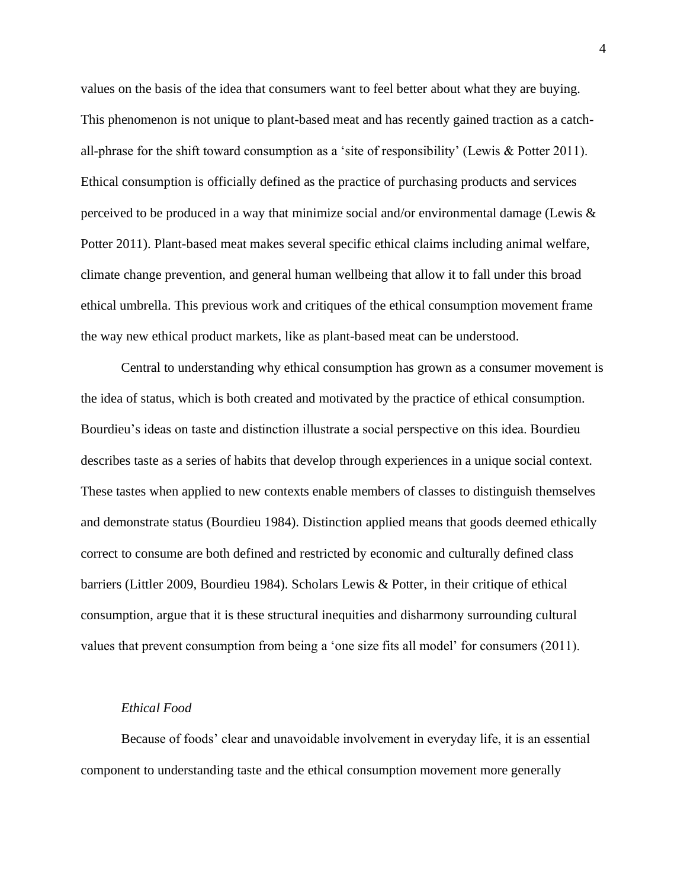values on the basis of the idea that consumers want to feel better about what they are buying. This phenomenon is not unique to plant-based meat and has recently gained traction as a catchall-phrase for the shift toward consumption as a 'site of responsibility' (Lewis & Potter 2011). Ethical consumption is officially defined as the practice of purchasing products and services perceived to be produced in a way that minimize social and/or environmental damage (Lewis & Potter 2011). Plant-based meat makes several specific ethical claims including animal welfare, climate change prevention, and general human wellbeing that allow it to fall under this broad ethical umbrella. This previous work and critiques of the ethical consumption movement frame the way new ethical product markets, like as plant-based meat can be understood.

Central to understanding why ethical consumption has grown as a consumer movement is the idea of status, which is both created and motivated by the practice of ethical consumption. Bourdieu's ideas on taste and distinction illustrate a social perspective on this idea. Bourdieu describes taste as a series of habits that develop through experiences in a unique social context. These tastes when applied to new contexts enable members of classes to distinguish themselves and demonstrate status (Bourdieu 1984). Distinction applied means that goods deemed ethically correct to consume are both defined and restricted by economic and culturally defined class barriers (Littler 2009, Bourdieu 1984). Scholars Lewis & Potter, in their critique of ethical consumption, argue that it is these structural inequities and disharmony surrounding cultural values that prevent consumption from being a 'one size fits all model' for consumers (2011).

#### *Ethical Food*

Because of foods' clear and unavoidable involvement in everyday life, it is an essential component to understanding taste and the ethical consumption movement more generally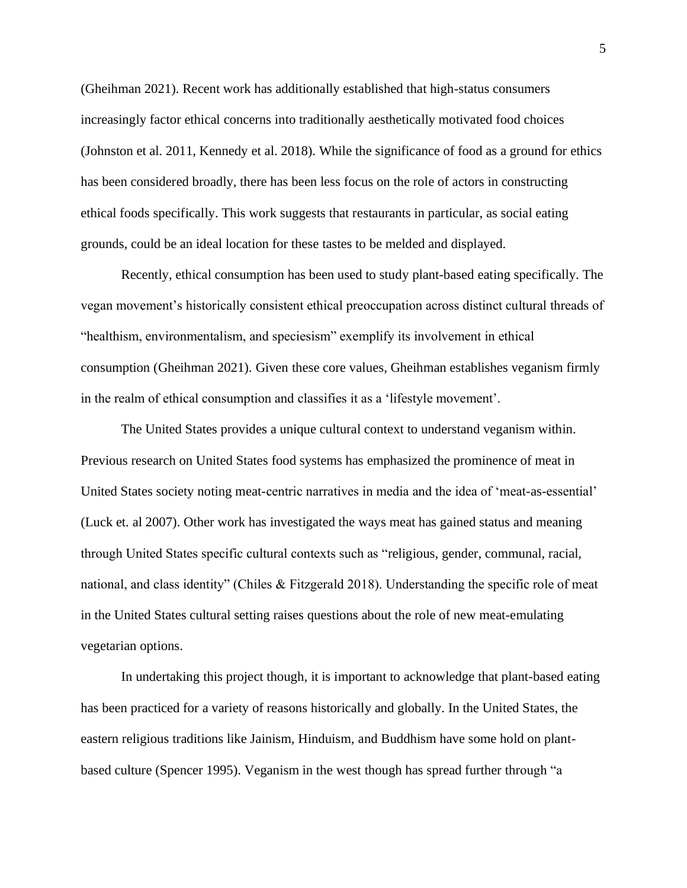(Gheihman 2021). Recent work has additionally established that high-status consumers increasingly factor ethical concerns into traditionally aesthetically motivated food choices (Johnston et al. 2011, Kennedy et al. 2018). While the significance of food as a ground for ethics has been considered broadly, there has been less focus on the role of actors in constructing ethical foods specifically. This work suggests that restaurants in particular, as social eating grounds, could be an ideal location for these tastes to be melded and displayed.

Recently, ethical consumption has been used to study plant-based eating specifically. The vegan movement's historically consistent ethical preoccupation across distinct cultural threads of "healthism, environmentalism, and speciesism" exemplify its involvement in ethical consumption (Gheihman 2021). Given these core values, Gheihman establishes veganism firmly in the realm of ethical consumption and classifies it as a 'lifestyle movement'.

The United States provides a unique cultural context to understand veganism within. Previous research on United States food systems has emphasized the prominence of meat in United States society noting meat-centric narratives in media and the idea of 'meat-as-essential' (Luck et. al 2007). Other work has investigated the ways meat has gained status and meaning through United States specific cultural contexts such as "religious, gender, communal, racial, national, and class identity" (Chiles & Fitzgerald 2018). Understanding the specific role of meat in the United States cultural setting raises questions about the role of new meat-emulating vegetarian options.

In undertaking this project though, it is important to acknowledge that plant-based eating has been practiced for a variety of reasons historically and globally. In the United States, the eastern religious traditions like Jainism, Hinduism, and Buddhism have some hold on plantbased culture (Spencer 1995). Veganism in the west though has spread further through "a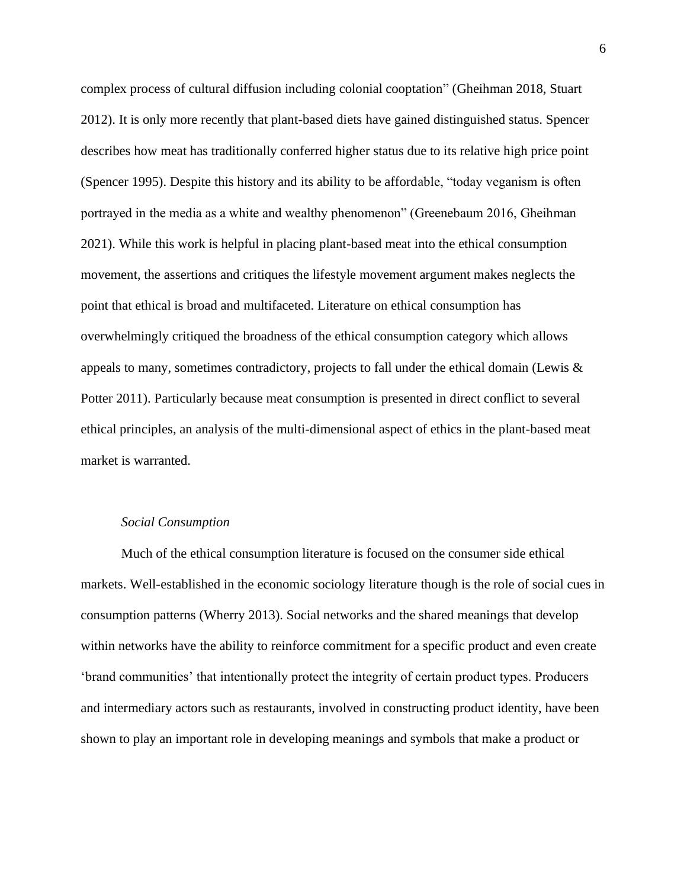complex process of cultural diffusion including colonial cooptation" (Gheihman 2018, Stuart 2012). It is only more recently that plant-based diets have gained distinguished status. Spencer describes how meat has traditionally conferred higher status due to its relative high price point (Spencer 1995). Despite this history and its ability to be affordable, "today veganism is often portrayed in the media as a white and wealthy phenomenon" (Greenebaum 2016, Gheihman 2021). While this work is helpful in placing plant-based meat into the ethical consumption movement, the assertions and critiques the lifestyle movement argument makes neglects the point that ethical is broad and multifaceted. Literature on ethical consumption has overwhelmingly critiqued the broadness of the ethical consumption category which allows appeals to many, sometimes contradictory, projects to fall under the ethical domain (Lewis  $\&$ Potter 2011). Particularly because meat consumption is presented in direct conflict to several ethical principles, an analysis of the multi-dimensional aspect of ethics in the plant-based meat market is warranted.

#### *Social Consumption*

Much of the ethical consumption literature is focused on the consumer side ethical markets. Well-established in the economic sociology literature though is the role of social cues in consumption patterns (Wherry 2013). Social networks and the shared meanings that develop within networks have the ability to reinforce commitment for a specific product and even create 'brand communities' that intentionally protect the integrity of certain product types. Producers and intermediary actors such as restaurants, involved in constructing product identity, have been shown to play an important role in developing meanings and symbols that make a product or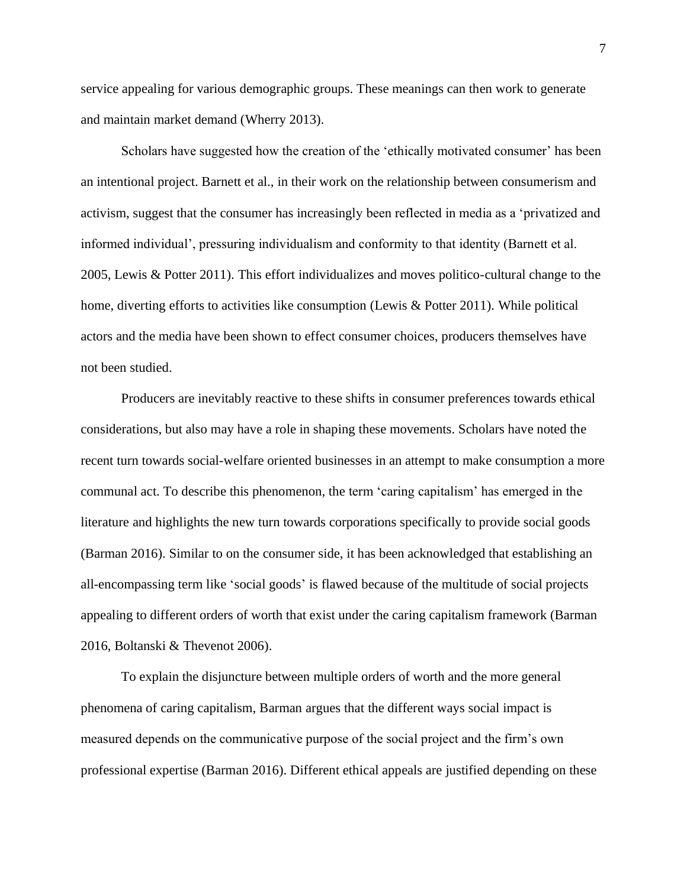service appealing for various demographic groups. These meanings can then work to generate and maintain market demand (Wherry 2013).

Scholars have suggested how the creation of the 'ethically motivated consumer' has been an intentional project. Barnett et al., in their work on the relationship between consumerism and activism, suggest that the consumer has increasingly been reflected in media as a 'privatized and informed individual', pressuring individualism and conformity to that identity (Barnett et al. 2005, Lewis & Potter 2011). This effort individualizes and moves politico-cultural change to the home, diverting efforts to activities like consumption (Lewis & Potter 2011). While political actors and the media have been shown to effect consumer choices, producers themselves have not been studied.

Producers are inevitably reactive to these shifts in consumer preferences towards ethical considerations, but also may have a role in shaping these movements. Scholars have noted the recent turn towards social-welfare oriented businesses in an attempt to make consumption a more communal act. To describe this phenomenon, the term 'caring capitalism' has emerged in the literature and highlights the new turn towards corporations specifically to provide social goods (Barman 2016). Similar to on the consumer side, it has been acknowledged that establishing an all-encompassing term like 'social goods' is flawed because of the multitude of social projects appealing to different orders of worth that exist under the caring capitalism framework (Barman 2016, Boltanski & Thevenot 2006).

To explain the disjuncture between multiple orders of worth and the more general phenomena of caring capitalism, Barman argues that the different ways social impact is measured depends on the communicative purpose of the social project and the firm's own professional expertise (Barman 2016). Different ethical appeals are justified depending on these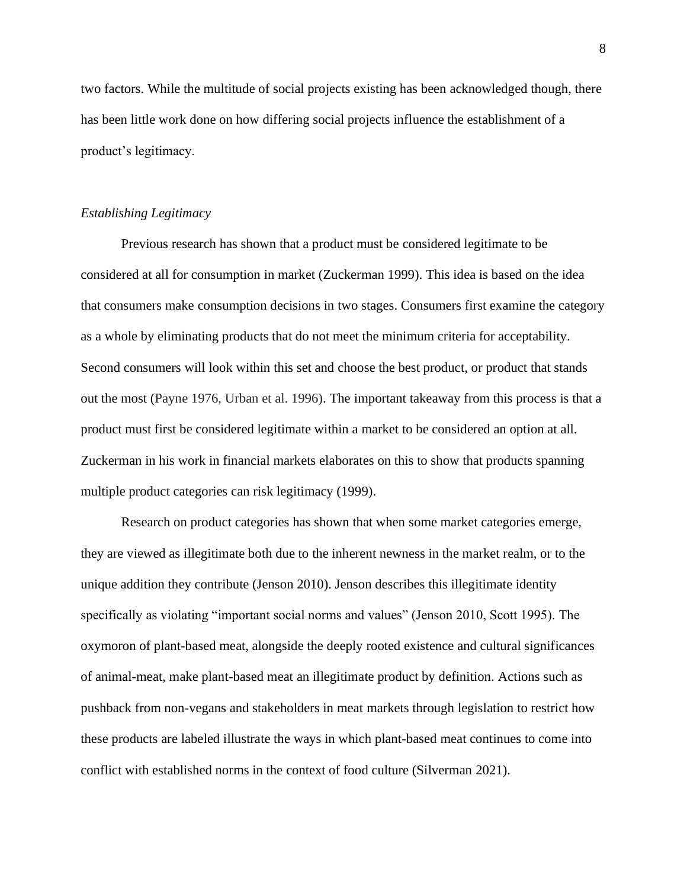two factors. While the multitude of social projects existing has been acknowledged though, there has been little work done on how differing social projects influence the establishment of a product's legitimacy.

#### *Establishing Legitimacy*

Previous research has shown that a product must be considered legitimate to be considered at all for consumption in market (Zuckerman 1999). This idea is based on the idea that consumers make consumption decisions in two stages. Consumers first examine the category as a whole by eliminating products that do not meet the minimum criteria for acceptability. Second consumers will look within this set and choose the best product, or product that stands out the most (Payne 1976, Urban et al. 1996). The important takeaway from this process is that a product must first be considered legitimate within a market to be considered an option at all. Zuckerman in his work in financial markets elaborates on this to show that products spanning multiple product categories can risk legitimacy (1999).

Research on product categories has shown that when some market categories emerge, they are viewed as illegitimate both due to the inherent newness in the market realm, or to the unique addition they contribute (Jenson 2010). Jenson describes this illegitimate identity specifically as violating "important social norms and values" (Jenson 2010, Scott 1995). The oxymoron of plant-based meat, alongside the deeply rooted existence and cultural significances of animal-meat, make plant-based meat an illegitimate product by definition. Actions such as pushback from non-vegans and stakeholders in meat markets through legislation to restrict how these products are labeled illustrate the ways in which plant-based meat continues to come into conflict with established norms in the context of food culture (Silverman 2021).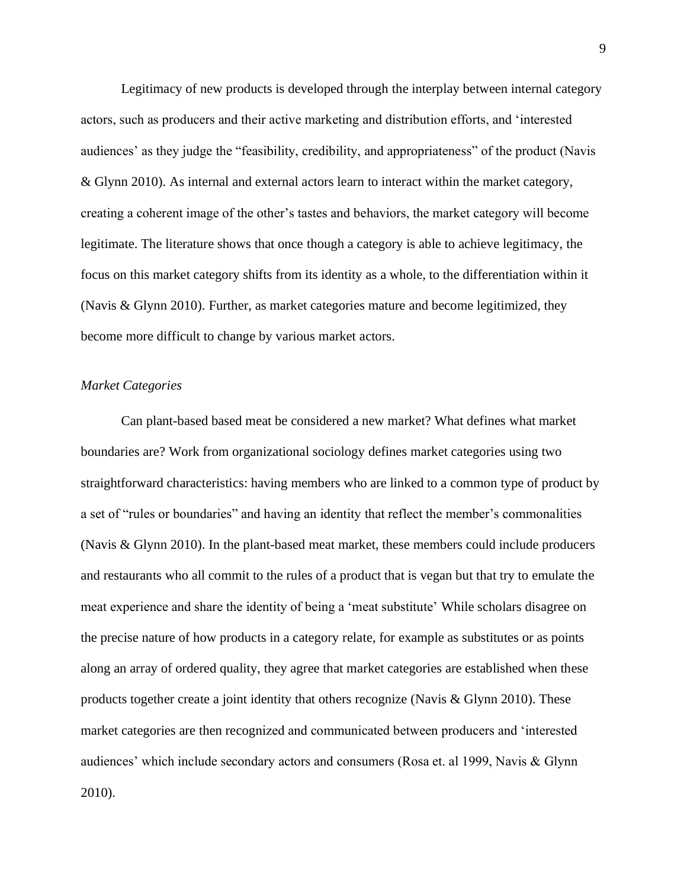Legitimacy of new products is developed through the interplay between internal category actors, such as producers and their active marketing and distribution efforts, and 'interested audiences' as they judge the "feasibility, credibility, and appropriateness" of the product (Navis & Glynn 2010). As internal and external actors learn to interact within the market category, creating a coherent image of the other's tastes and behaviors, the market category will become legitimate. The literature shows that once though a category is able to achieve legitimacy, the focus on this market category shifts from its identity as a whole, to the differentiation within it (Navis & Glynn 2010). Further, as market categories mature and become legitimized, they become more difficult to change by various market actors.

#### *Market Categories*

Can plant-based based meat be considered a new market? What defines what market boundaries are? Work from organizational sociology defines market categories using two straightforward characteristics: having members who are linked to a common type of product by a set of "rules or boundaries" and having an identity that reflect the member's commonalities (Navis & Glynn 2010). In the plant-based meat market, these members could include producers and restaurants who all commit to the rules of a product that is vegan but that try to emulate the meat experience and share the identity of being a 'meat substitute' While scholars disagree on the precise nature of how products in a category relate, for example as substitutes or as points along an array of ordered quality, they agree that market categories are established when these products together create a joint identity that others recognize (Navis & Glynn 2010). These market categories are then recognized and communicated between producers and 'interested audiences' which include secondary actors and consumers (Rosa et. al 1999, Navis & Glynn 2010).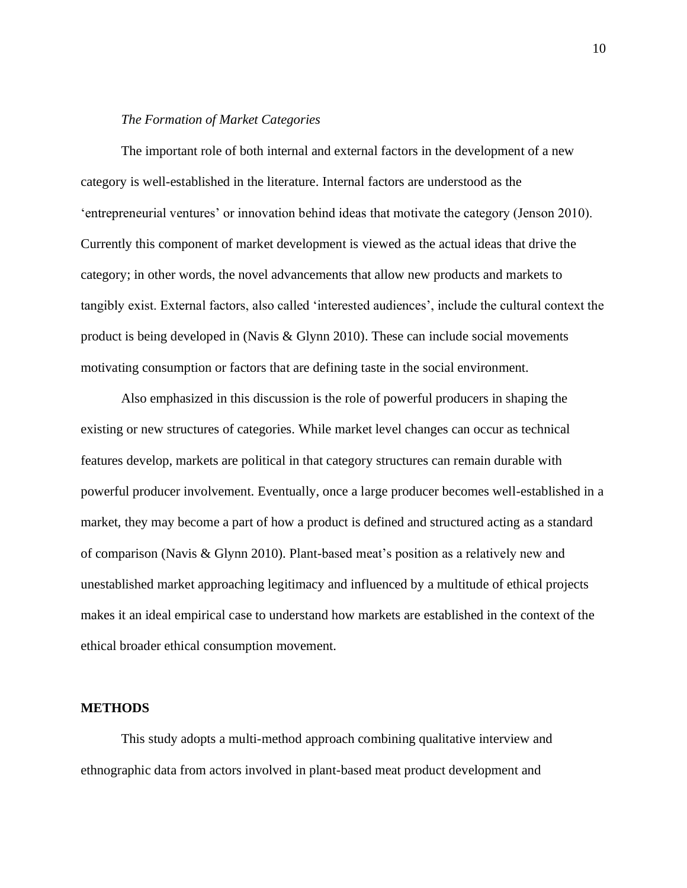# *The Formation of Market Categories*

The important role of both internal and external factors in the development of a new category is well-established in the literature. Internal factors are understood as the 'entrepreneurial ventures' or innovation behind ideas that motivate the category (Jenson 2010). Currently this component of market development is viewed as the actual ideas that drive the category; in other words, the novel advancements that allow new products and markets to tangibly exist. External factors, also called 'interested audiences', include the cultural context the product is being developed in (Navis & Glynn 2010). These can include social movements motivating consumption or factors that are defining taste in the social environment.

Also emphasized in this discussion is the role of powerful producers in shaping the existing or new structures of categories. While market level changes can occur as technical features develop, markets are political in that category structures can remain durable with powerful producer involvement. Eventually, once a large producer becomes well-established in a market, they may become a part of how a product is defined and structured acting as a standard of comparison (Navis & Glynn 2010). Plant-based meat's position as a relatively new and unestablished market approaching legitimacy and influenced by a multitude of ethical projects makes it an ideal empirical case to understand how markets are established in the context of the ethical broader ethical consumption movement.

#### **METHODS**

This study adopts a multi-method approach combining qualitative interview and ethnographic data from actors involved in plant-based meat product development and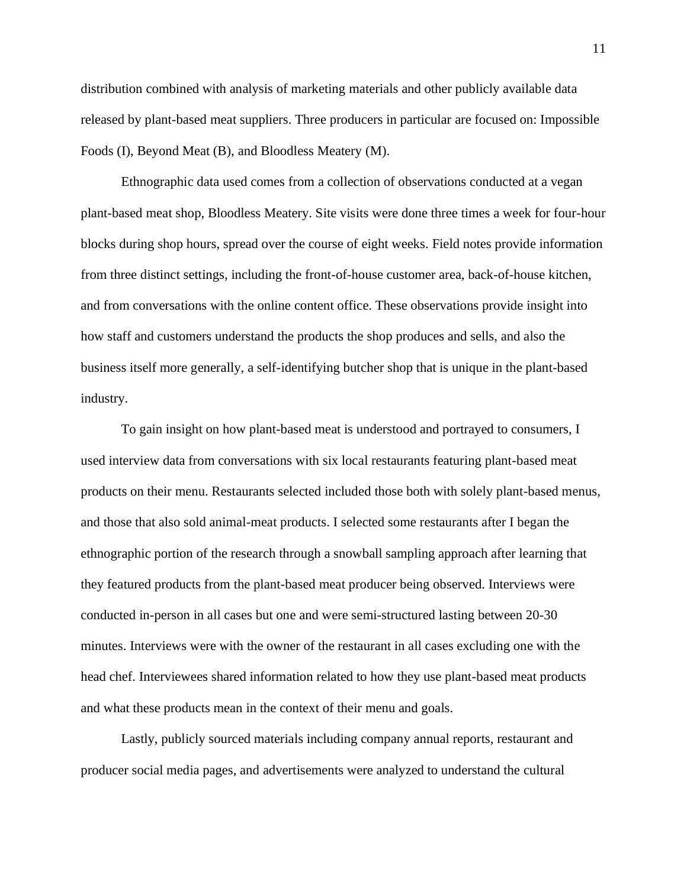distribution combined with analysis of marketing materials and other publicly available data released by plant-based meat suppliers. Three producers in particular are focused on: Impossible Foods (I), Beyond Meat (B), and Bloodless Meatery (M).

Ethnographic data used comes from a collection of observations conducted at a vegan plant-based meat shop, Bloodless Meatery. Site visits were done three times a week for four-hour blocks during shop hours, spread over the course of eight weeks. Field notes provide information from three distinct settings, including the front-of-house customer area, back-of-house kitchen, and from conversations with the online content office. These observations provide insight into how staff and customers understand the products the shop produces and sells, and also the business itself more generally, a self-identifying butcher shop that is unique in the plant-based industry.

To gain insight on how plant-based meat is understood and portrayed to consumers, I used interview data from conversations with six local restaurants featuring plant-based meat products on their menu. Restaurants selected included those both with solely plant-based menus, and those that also sold animal-meat products. I selected some restaurants after I began the ethnographic portion of the research through a snowball sampling approach after learning that they featured products from the plant-based meat producer being observed. Interviews were conducted in-person in all cases but one and were semi-structured lasting between 20-30 minutes. Interviews were with the owner of the restaurant in all cases excluding one with the head chef. Interviewees shared information related to how they use plant-based meat products and what these products mean in the context of their menu and goals.

Lastly, publicly sourced materials including company annual reports, restaurant and producer social media pages, and advertisements were analyzed to understand the cultural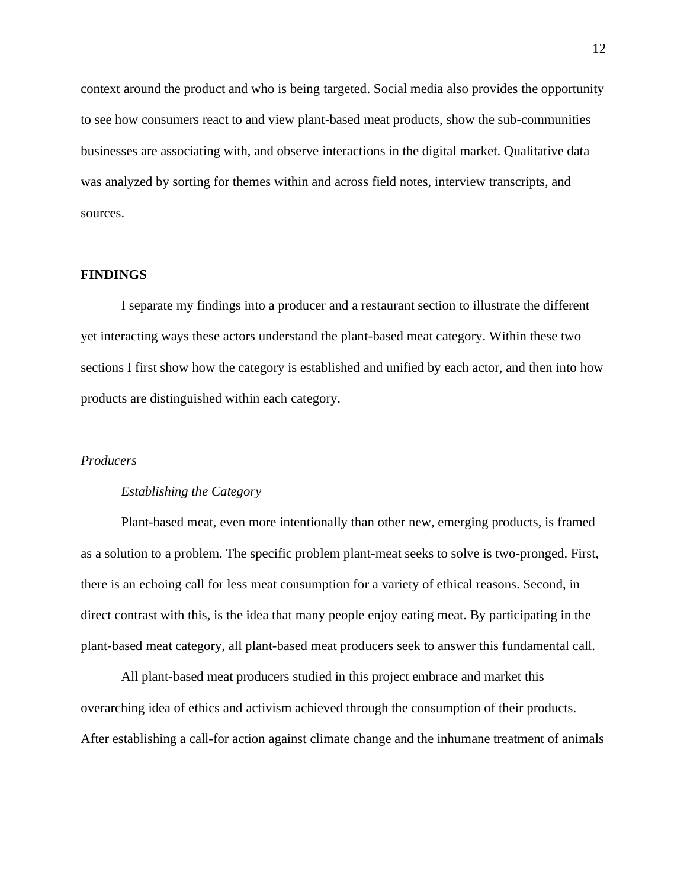context around the product and who is being targeted. Social media also provides the opportunity to see how consumers react to and view plant-based meat products, show the sub-communities businesses are associating with, and observe interactions in the digital market. Qualitative data was analyzed by sorting for themes within and across field notes, interview transcripts, and sources.

# **FINDINGS**

I separate my findings into a producer and a restaurant section to illustrate the different yet interacting ways these actors understand the plant-based meat category. Within these two sections I first show how the category is established and unified by each actor, and then into how products are distinguished within each category.

#### *Producers*

#### *Establishing the Category*

Plant-based meat, even more intentionally than other new, emerging products, is framed as a solution to a problem. The specific problem plant-meat seeks to solve is two-pronged. First, there is an echoing call for less meat consumption for a variety of ethical reasons. Second, in direct contrast with this, is the idea that many people enjoy eating meat. By participating in the plant-based meat category, all plant-based meat producers seek to answer this fundamental call.

All plant-based meat producers studied in this project embrace and market this overarching idea of ethics and activism achieved through the consumption of their products. After establishing a call-for action against climate change and the inhumane treatment of animals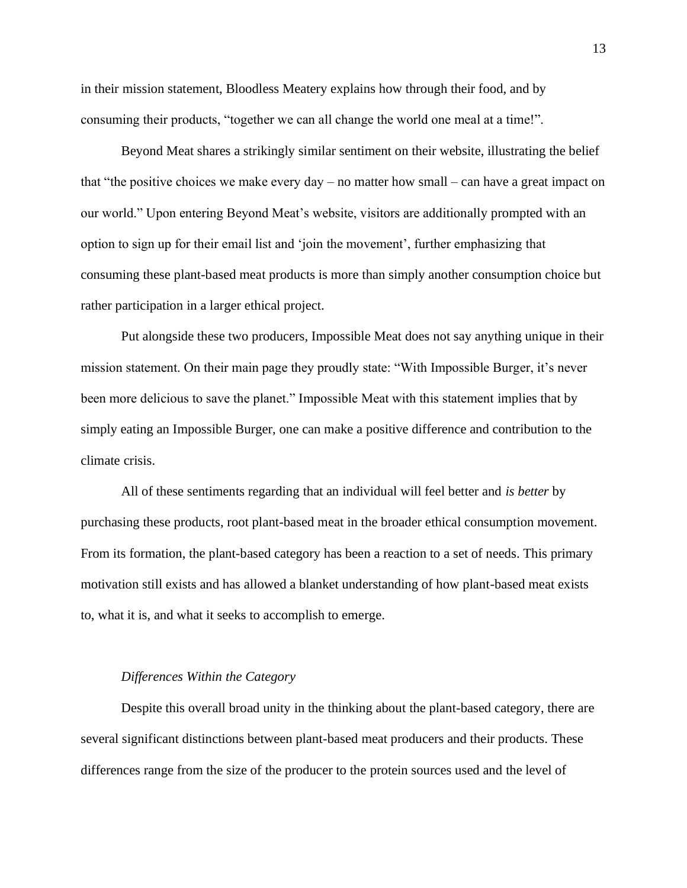in their mission statement, Bloodless Meatery explains how through their food, and by consuming their products, "together we can all change the world one meal at a time!".

Beyond Meat shares a strikingly similar sentiment on their website, illustrating the belief that "the positive choices we make every  $day - no$  matter how small – can have a great impact on our world." Upon entering Beyond Meat's website, visitors are additionally prompted with an option to sign up for their email list and 'join the movement', further emphasizing that consuming these plant-based meat products is more than simply another consumption choice but rather participation in a larger ethical project.

Put alongside these two producers, Impossible Meat does not say anything unique in their mission statement. On their main page they proudly state: "With Impossible Burger, it's never been more delicious to save the planet." Impossible Meat with this statement implies that by simply eating an Impossible Burger, one can make a positive difference and contribution to the climate crisis.

All of these sentiments regarding that an individual will feel better and *is better* by purchasing these products, root plant-based meat in the broader ethical consumption movement. From its formation, the plant-based category has been a reaction to a set of needs. This primary motivation still exists and has allowed a blanket understanding of how plant-based meat exists to, what it is, and what it seeks to accomplish to emerge.

# *Differences Within the Category*

Despite this overall broad unity in the thinking about the plant-based category, there are several significant distinctions between plant-based meat producers and their products. These differences range from the size of the producer to the protein sources used and the level of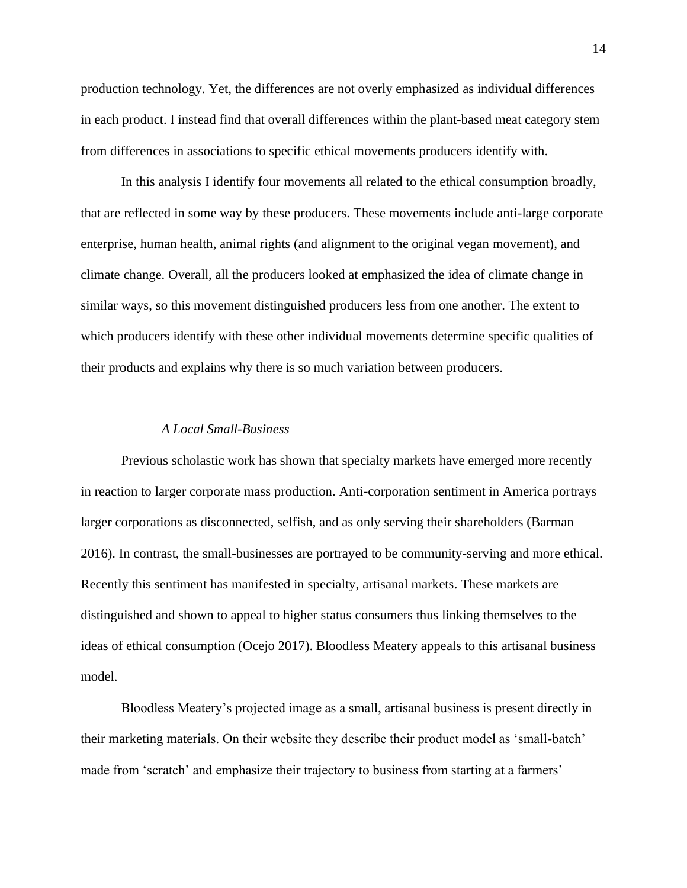production technology. Yet, the differences are not overly emphasized as individual differences in each product. I instead find that overall differences within the plant-based meat category stem from differences in associations to specific ethical movements producers identify with.

In this analysis I identify four movements all related to the ethical consumption broadly, that are reflected in some way by these producers. These movements include anti-large corporate enterprise, human health, animal rights (and alignment to the original vegan movement), and climate change. Overall, all the producers looked at emphasized the idea of climate change in similar ways, so this movement distinguished producers less from one another. The extent to which producers identify with these other individual movements determine specific qualities of their products and explains why there is so much variation between producers.

# *A Local Small-Business*

Previous scholastic work has shown that specialty markets have emerged more recently in reaction to larger corporate mass production. Anti-corporation sentiment in America portrays larger corporations as disconnected, selfish, and as only serving their shareholders (Barman 2016). In contrast, the small-businesses are portrayed to be community-serving and more ethical. Recently this sentiment has manifested in specialty, artisanal markets. These markets are distinguished and shown to appeal to higher status consumers thus linking themselves to the ideas of ethical consumption (Ocejo 2017). Bloodless Meatery appeals to this artisanal business model.

Bloodless Meatery's projected image as a small, artisanal business is present directly in their marketing materials. On their website they describe their product model as 'small-batch' made from 'scratch' and emphasize their trajectory to business from starting at a farmers'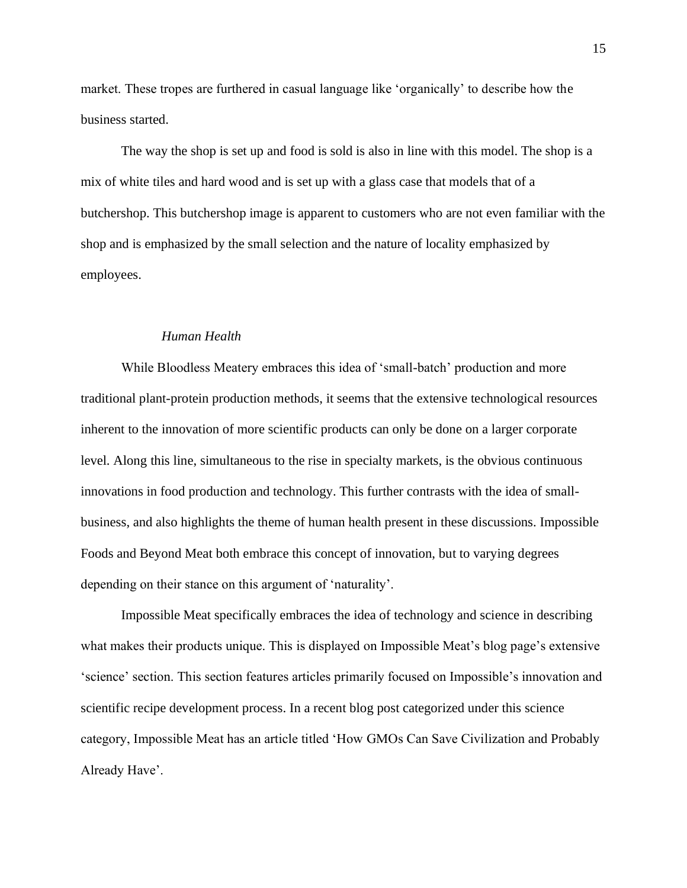market. These tropes are furthered in casual language like 'organically' to describe how the business started.

The way the shop is set up and food is sold is also in line with this model. The shop is a mix of white tiles and hard wood and is set up with a glass case that models that of a butchershop. This butchershop image is apparent to customers who are not even familiar with the shop and is emphasized by the small selection and the nature of locality emphasized by employees.

# *Human Health*

While Bloodless Meatery embraces this idea of 'small-batch' production and more traditional plant-protein production methods, it seems that the extensive technological resources inherent to the innovation of more scientific products can only be done on a larger corporate level. Along this line, simultaneous to the rise in specialty markets, is the obvious continuous innovations in food production and technology. This further contrasts with the idea of smallbusiness, and also highlights the theme of human health present in these discussions. Impossible Foods and Beyond Meat both embrace this concept of innovation, but to varying degrees depending on their stance on this argument of 'naturality'.

Impossible Meat specifically embraces the idea of technology and science in describing what makes their products unique. This is displayed on Impossible Meat's blog page's extensive 'science' section. This section features articles primarily focused on Impossible's innovation and scientific recipe development process. In a recent blog post categorized under this science category, Impossible Meat has an article titled 'How GMOs Can Save Civilization and Probably Already Have'.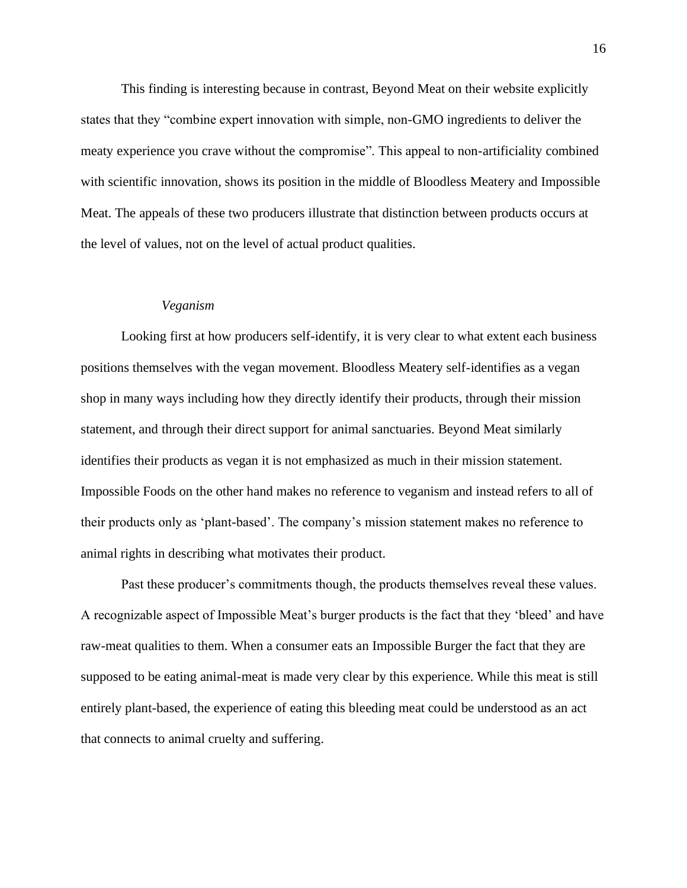This finding is interesting because in contrast, Beyond Meat on their website explicitly states that they "combine expert innovation with simple, non-GMO ingredients to deliver the meaty experience you crave without the compromise". This appeal to non-artificiality combined with scientific innovation, shows its position in the middle of Bloodless Meatery and Impossible Meat. The appeals of these two producers illustrate that distinction between products occurs at the level of values, not on the level of actual product qualities.

#### *Veganism*

Looking first at how producers self-identify, it is very clear to what extent each business positions themselves with the vegan movement. Bloodless Meatery self-identifies as a vegan shop in many ways including how they directly identify their products, through their mission statement, and through their direct support for animal sanctuaries. Beyond Meat similarly identifies their products as vegan it is not emphasized as much in their mission statement. Impossible Foods on the other hand makes no reference to veganism and instead refers to all of their products only as 'plant-based'. The company's mission statement makes no reference to animal rights in describing what motivates their product.

Past these producer's commitments though, the products themselves reveal these values. A recognizable aspect of Impossible Meat's burger products is the fact that they 'bleed' and have raw-meat qualities to them. When a consumer eats an Impossible Burger the fact that they are supposed to be eating animal-meat is made very clear by this experience. While this meat is still entirely plant-based, the experience of eating this bleeding meat could be understood as an act that connects to animal cruelty and suffering.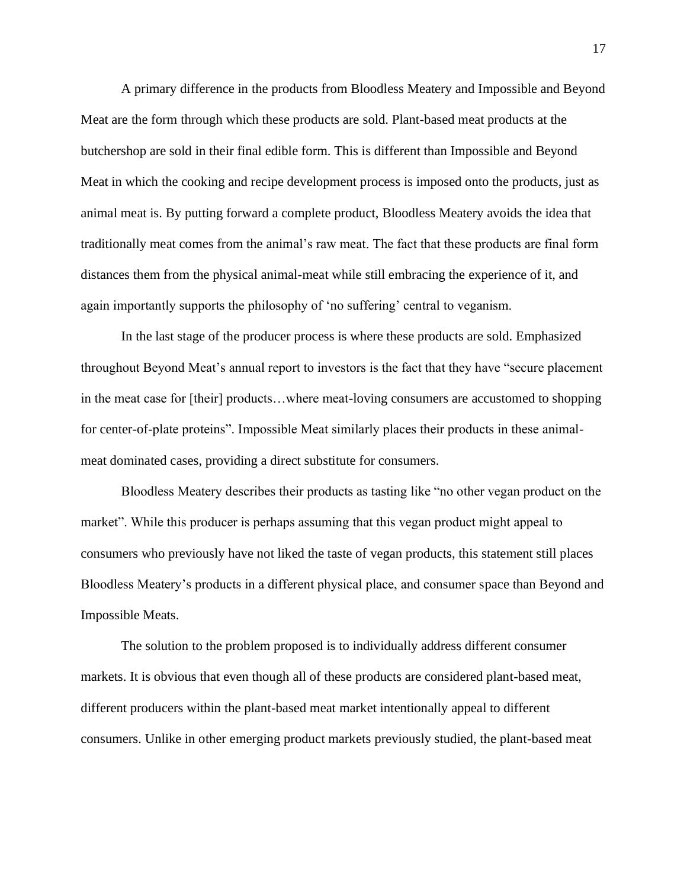A primary difference in the products from Bloodless Meatery and Impossible and Beyond Meat are the form through which these products are sold. Plant-based meat products at the butchershop are sold in their final edible form. This is different than Impossible and Beyond Meat in which the cooking and recipe development process is imposed onto the products, just as animal meat is. By putting forward a complete product, Bloodless Meatery avoids the idea that traditionally meat comes from the animal's raw meat. The fact that these products are final form distances them from the physical animal-meat while still embracing the experience of it, and again importantly supports the philosophy of 'no suffering' central to veganism.

In the last stage of the producer process is where these products are sold. Emphasized throughout Beyond Meat's annual report to investors is the fact that they have "secure placement in the meat case for [their] products…where meat-loving consumers are accustomed to shopping for center-of-plate proteins". Impossible Meat similarly places their products in these animalmeat dominated cases, providing a direct substitute for consumers.

Bloodless Meatery describes their products as tasting like "no other vegan product on the market". While this producer is perhaps assuming that this vegan product might appeal to consumers who previously have not liked the taste of vegan products, this statement still places Bloodless Meatery's products in a different physical place, and consumer space than Beyond and Impossible Meats.

The solution to the problem proposed is to individually address different consumer markets. It is obvious that even though all of these products are considered plant-based meat, different producers within the plant-based meat market intentionally appeal to different consumers. Unlike in other emerging product markets previously studied, the plant-based meat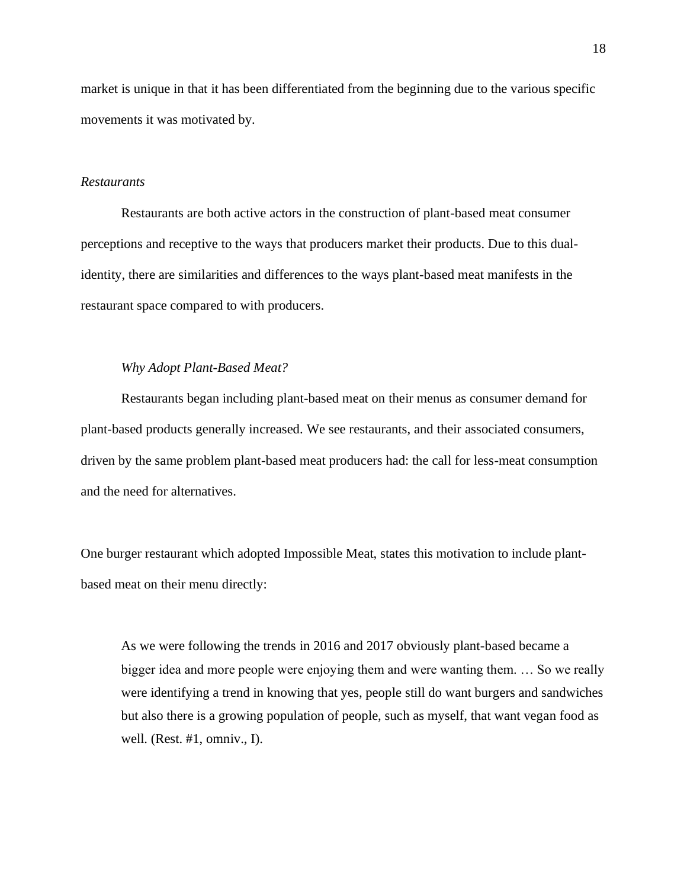market is unique in that it has been differentiated from the beginning due to the various specific movements it was motivated by.

# *Restaurants*

Restaurants are both active actors in the construction of plant-based meat consumer perceptions and receptive to the ways that producers market their products. Due to this dualidentity, there are similarities and differences to the ways plant-based meat manifests in the restaurant space compared to with producers.

# *Why Adopt Plant-Based Meat?*

Restaurants began including plant-based meat on their menus as consumer demand for plant-based products generally increased. We see restaurants, and their associated consumers, driven by the same problem plant-based meat producers had: the call for less-meat consumption and the need for alternatives.

One burger restaurant which adopted Impossible Meat, states this motivation to include plantbased meat on their menu directly:

As we were following the trends in 2016 and 2017 obviously plant-based became a bigger idea and more people were enjoying them and were wanting them. … So we really were identifying a trend in knowing that yes, people still do want burgers and sandwiches but also there is a growing population of people, such as myself, that want vegan food as well. (Rest. #1, omniv., I).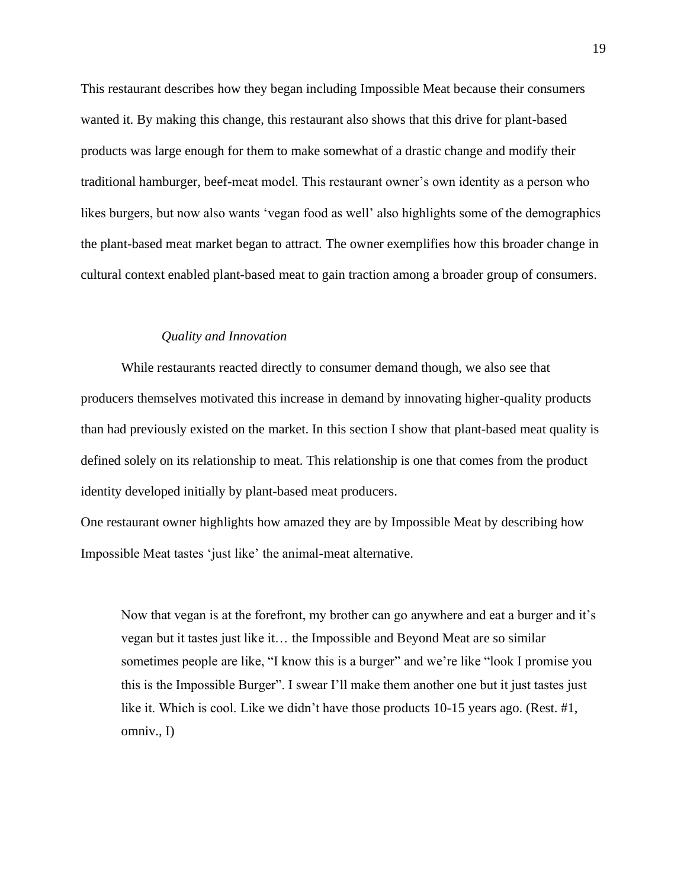This restaurant describes how they began including Impossible Meat because their consumers wanted it. By making this change, this restaurant also shows that this drive for plant-based products was large enough for them to make somewhat of a drastic change and modify their traditional hamburger, beef-meat model. This restaurant owner's own identity as a person who likes burgers, but now also wants 'vegan food as well' also highlights some of the demographics the plant-based meat market began to attract. The owner exemplifies how this broader change in cultural context enabled plant-based meat to gain traction among a broader group of consumers.

# *Quality and Innovation*

While restaurants reacted directly to consumer demand though, we also see that producers themselves motivated this increase in demand by innovating higher-quality products than had previously existed on the market. In this section I show that plant-based meat quality is defined solely on its relationship to meat. This relationship is one that comes from the product identity developed initially by plant-based meat producers.

One restaurant owner highlights how amazed they are by Impossible Meat by describing how Impossible Meat tastes 'just like' the animal-meat alternative.

Now that vegan is at the forefront, my brother can go anywhere and eat a burger and it's vegan but it tastes just like it… the Impossible and Beyond Meat are so similar sometimes people are like, "I know this is a burger" and we're like "look I promise you this is the Impossible Burger". I swear I'll make them another one but it just tastes just like it. Which is cool. Like we didn't have those products 10-15 years ago. (Rest. #1, omniv., I)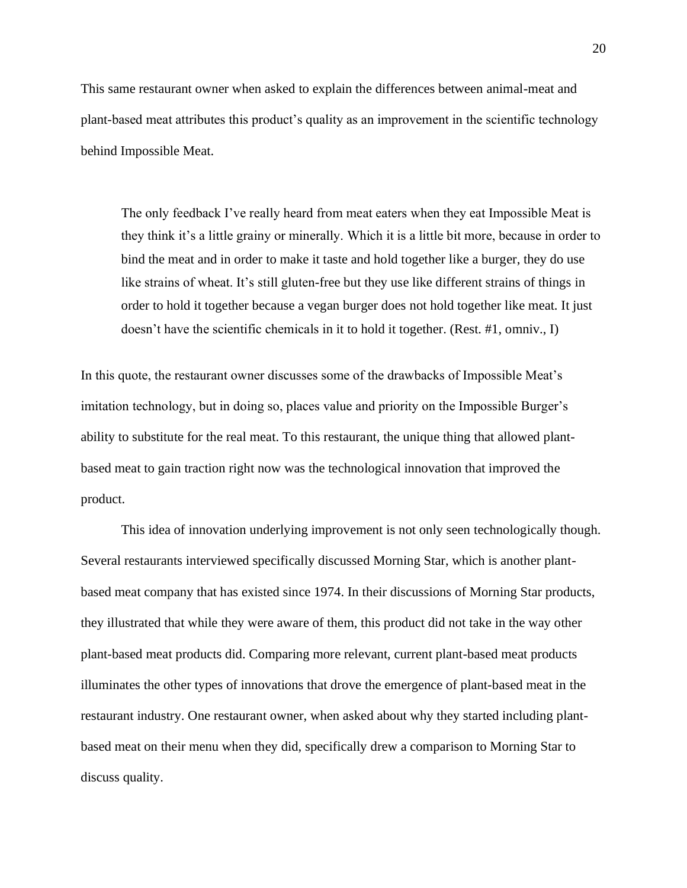This same restaurant owner when asked to explain the differences between animal-meat and plant-based meat attributes this product's quality as an improvement in the scientific technology behind Impossible Meat.

The only feedback I've really heard from meat eaters when they eat Impossible Meat is they think it's a little grainy or minerally. Which it is a little bit more, because in order to bind the meat and in order to make it taste and hold together like a burger, they do use like strains of wheat. It's still gluten-free but they use like different strains of things in order to hold it together because a vegan burger does not hold together like meat. It just doesn't have the scientific chemicals in it to hold it together. (Rest. #1, omniv., I)

In this quote, the restaurant owner discusses some of the drawbacks of Impossible Meat's imitation technology, but in doing so, places value and priority on the Impossible Burger's ability to substitute for the real meat. To this restaurant, the unique thing that allowed plantbased meat to gain traction right now was the technological innovation that improved the product.

This idea of innovation underlying improvement is not only seen technologically though. Several restaurants interviewed specifically discussed Morning Star, which is another plantbased meat company that has existed since 1974. In their discussions of Morning Star products, they illustrated that while they were aware of them, this product did not take in the way other plant-based meat products did. Comparing more relevant, current plant-based meat products illuminates the other types of innovations that drove the emergence of plant-based meat in the restaurant industry. One restaurant owner, when asked about why they started including plantbased meat on their menu when they did, specifically drew a comparison to Morning Star to discuss quality.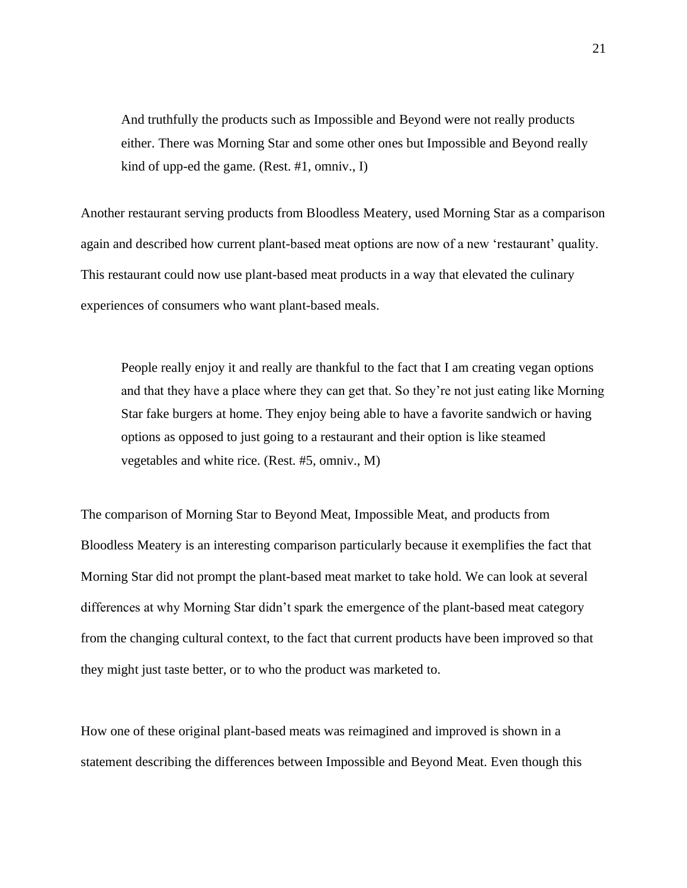And truthfully the products such as Impossible and Beyond were not really products either. There was Morning Star and some other ones but Impossible and Beyond really kind of upp-ed the game. (Rest. #1, omniv., I)

Another restaurant serving products from Bloodless Meatery, used Morning Star as a comparison again and described how current plant-based meat options are now of a new 'restaurant' quality. This restaurant could now use plant-based meat products in a way that elevated the culinary experiences of consumers who want plant-based meals.

People really enjoy it and really are thankful to the fact that I am creating vegan options and that they have a place where they can get that. So they're not just eating like Morning Star fake burgers at home. They enjoy being able to have a favorite sandwich or having options as opposed to just going to a restaurant and their option is like steamed vegetables and white rice. (Rest. #5, omniv., M)

The comparison of Morning Star to Beyond Meat, Impossible Meat, and products from Bloodless Meatery is an interesting comparison particularly because it exemplifies the fact that Morning Star did not prompt the plant-based meat market to take hold. We can look at several differences at why Morning Star didn't spark the emergence of the plant-based meat category from the changing cultural context, to the fact that current products have been improved so that they might just taste better, or to who the product was marketed to.

How one of these original plant-based meats was reimagined and improved is shown in a statement describing the differences between Impossible and Beyond Meat. Even though this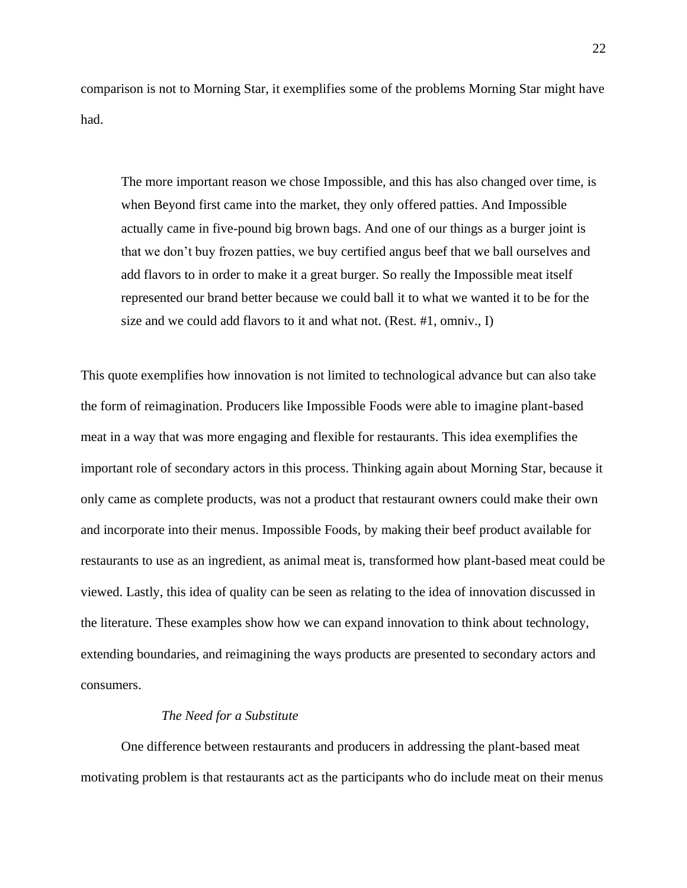comparison is not to Morning Star, it exemplifies some of the problems Morning Star might have had.

The more important reason we chose Impossible, and this has also changed over time, is when Beyond first came into the market, they only offered patties. And Impossible actually came in five-pound big brown bags. And one of our things as a burger joint is that we don't buy frozen patties, we buy certified angus beef that we ball ourselves and add flavors to in order to make it a great burger. So really the Impossible meat itself represented our brand better because we could ball it to what we wanted it to be for the size and we could add flavors to it and what not. (Rest. #1, omniv., I)

This quote exemplifies how innovation is not limited to technological advance but can also take the form of reimagination. Producers like Impossible Foods were able to imagine plant-based meat in a way that was more engaging and flexible for restaurants. This idea exemplifies the important role of secondary actors in this process. Thinking again about Morning Star, because it only came as complete products, was not a product that restaurant owners could make their own and incorporate into their menus. Impossible Foods, by making their beef product available for restaurants to use as an ingredient, as animal meat is, transformed how plant-based meat could be viewed. Lastly, this idea of quality can be seen as relating to the idea of innovation discussed in the literature. These examples show how we can expand innovation to think about technology, extending boundaries, and reimagining the ways products are presented to secondary actors and consumers.

# *The Need for a Substitute*

One difference between restaurants and producers in addressing the plant-based meat motivating problem is that restaurants act as the participants who do include meat on their menus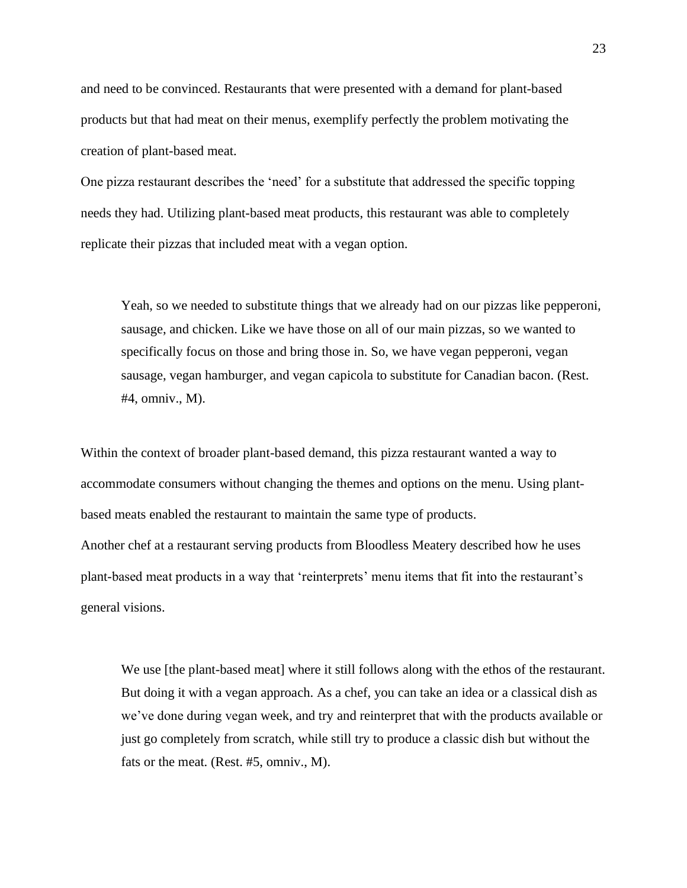and need to be convinced. Restaurants that were presented with a demand for plant-based products but that had meat on their menus, exemplify perfectly the problem motivating the creation of plant-based meat.

One pizza restaurant describes the 'need' for a substitute that addressed the specific topping needs they had. Utilizing plant-based meat products, this restaurant was able to completely replicate their pizzas that included meat with a vegan option.

Yeah, so we needed to substitute things that we already had on our pizzas like pepperoni, sausage, and chicken. Like we have those on all of our main pizzas, so we wanted to specifically focus on those and bring those in. So, we have vegan pepperoni, vegan sausage, vegan hamburger, and vegan capicola to substitute for Canadian bacon. (Rest. #4, omniv., M).

Within the context of broader plant-based demand, this pizza restaurant wanted a way to accommodate consumers without changing the themes and options on the menu. Using plantbased meats enabled the restaurant to maintain the same type of products. Another chef at a restaurant serving products from Bloodless Meatery described how he uses plant-based meat products in a way that 'reinterprets' menu items that fit into the restaurant's general visions.

We use [the plant-based meat] where it still follows along with the ethos of the restaurant. But doing it with a vegan approach. As a chef, you can take an idea or a classical dish as we've done during vegan week, and try and reinterpret that with the products available or just go completely from scratch, while still try to produce a classic dish but without the fats or the meat. (Rest. #5, omniv., M).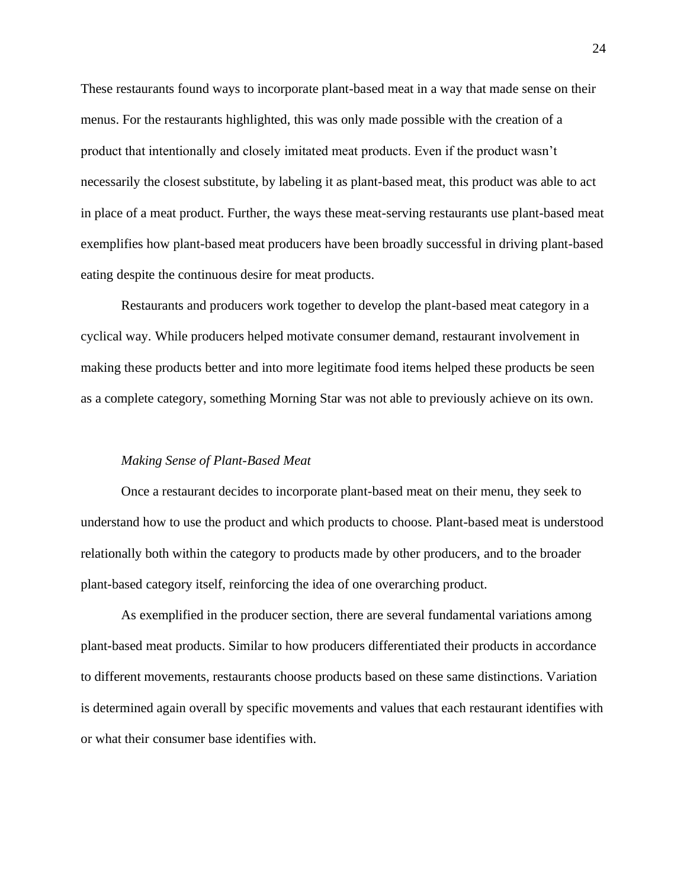These restaurants found ways to incorporate plant-based meat in a way that made sense on their menus. For the restaurants highlighted, this was only made possible with the creation of a product that intentionally and closely imitated meat products. Even if the product wasn't necessarily the closest substitute, by labeling it as plant-based meat, this product was able to act in place of a meat product. Further, the ways these meat-serving restaurants use plant-based meat exemplifies how plant-based meat producers have been broadly successful in driving plant-based eating despite the continuous desire for meat products.

Restaurants and producers work together to develop the plant-based meat category in a cyclical way. While producers helped motivate consumer demand, restaurant involvement in making these products better and into more legitimate food items helped these products be seen as a complete category, something Morning Star was not able to previously achieve on its own.

#### *Making Sense of Plant-Based Meat*

Once a restaurant decides to incorporate plant-based meat on their menu, they seek to understand how to use the product and which products to choose. Plant-based meat is understood relationally both within the category to products made by other producers, and to the broader plant-based category itself, reinforcing the idea of one overarching product.

As exemplified in the producer section, there are several fundamental variations among plant-based meat products. Similar to how producers differentiated their products in accordance to different movements, restaurants choose products based on these same distinctions. Variation is determined again overall by specific movements and values that each restaurant identifies with or what their consumer base identifies with.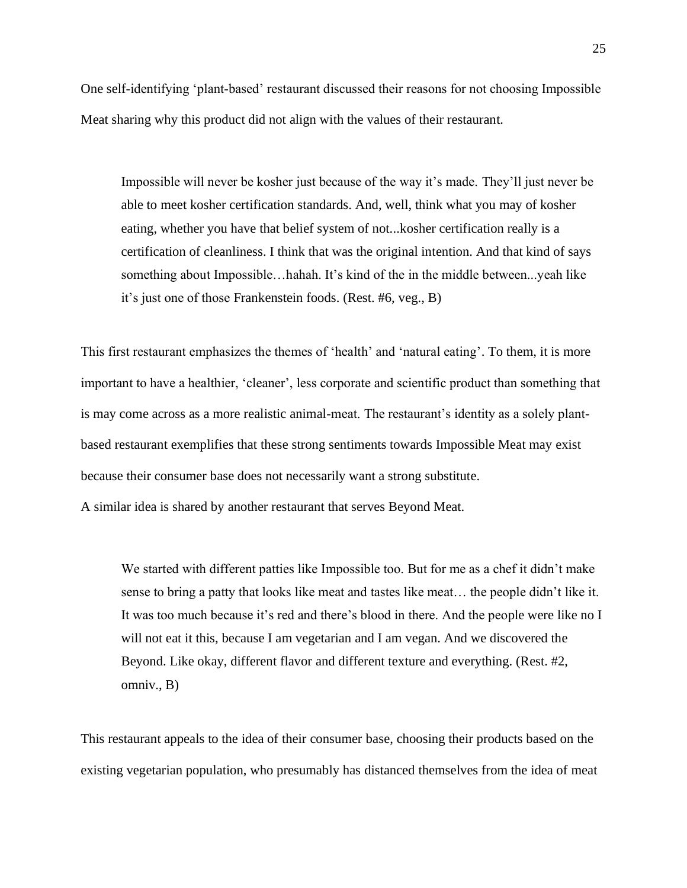One self-identifying 'plant-based' restaurant discussed their reasons for not choosing Impossible Meat sharing why this product did not align with the values of their restaurant.

Impossible will never be kosher just because of the way it's made. They'll just never be able to meet kosher certification standards. And, well, think what you may of kosher eating, whether you have that belief system of not...kosher certification really is a certification of cleanliness. I think that was the original intention. And that kind of says something about Impossible…hahah. It's kind of the in the middle between...yeah like it's just one of those Frankenstein foods. (Rest. #6, veg., B)

This first restaurant emphasizes the themes of 'health' and 'natural eating'. To them, it is more important to have a healthier, 'cleaner', less corporate and scientific product than something that is may come across as a more realistic animal-meat. The restaurant's identity as a solely plantbased restaurant exemplifies that these strong sentiments towards Impossible Meat may exist because their consumer base does not necessarily want a strong substitute.

A similar idea is shared by another restaurant that serves Beyond Meat.

We started with different patties like Impossible too. But for me as a chef it didn't make sense to bring a patty that looks like meat and tastes like meat… the people didn't like it. It was too much because it's red and there's blood in there. And the people were like no I will not eat it this, because I am vegetarian and I am vegan. And we discovered the Beyond. Like okay, different flavor and different texture and everything. (Rest. #2, omniv., B)

This restaurant appeals to the idea of their consumer base, choosing their products based on the existing vegetarian population, who presumably has distanced themselves from the idea of meat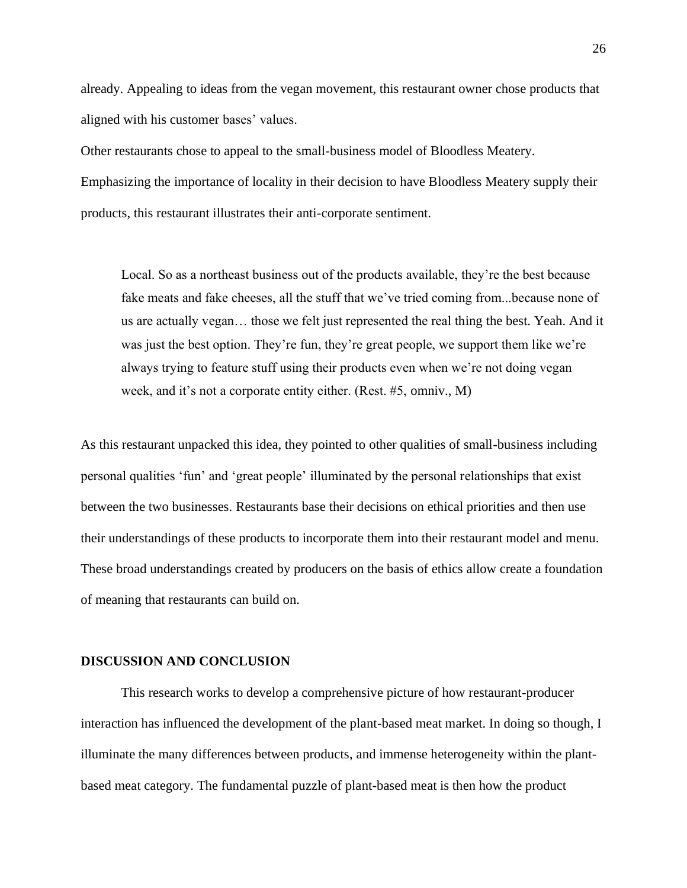already. Appealing to ideas from the vegan movement, this restaurant owner chose products that aligned with his customer bases' values.

Other restaurants chose to appeal to the small-business model of Bloodless Meatery. Emphasizing the importance of locality in their decision to have Bloodless Meatery supply their products, this restaurant illustrates their anti-corporate sentiment.

Local. So as a northeast business out of the products available, they're the best because fake meats and fake cheeses, all the stuff that we've tried coming from...because none of us are actually vegan… those we felt just represented the real thing the best. Yeah. And it was just the best option. They're fun, they're great people, we support them like we're always trying to feature stuff using their products even when we're not doing vegan week, and it's not a corporate entity either. (Rest. #5, omniv., M)

As this restaurant unpacked this idea, they pointed to other qualities of small-business including personal qualities 'fun' and 'great people' illuminated by the personal relationships that exist between the two businesses. Restaurants base their decisions on ethical priorities and then use their understandings of these products to incorporate them into their restaurant model and menu. These broad understandings created by producers on the basis of ethics allow create a foundation of meaning that restaurants can build on.

# **DISCUSSION AND CONCLUSION**

This research works to develop a comprehensive picture of how restaurant-producer interaction has influenced the development of the plant-based meat market. In doing so though, I illuminate the many differences between products, and immense heterogeneity within the plantbased meat category. The fundamental puzzle of plant-based meat is then how the product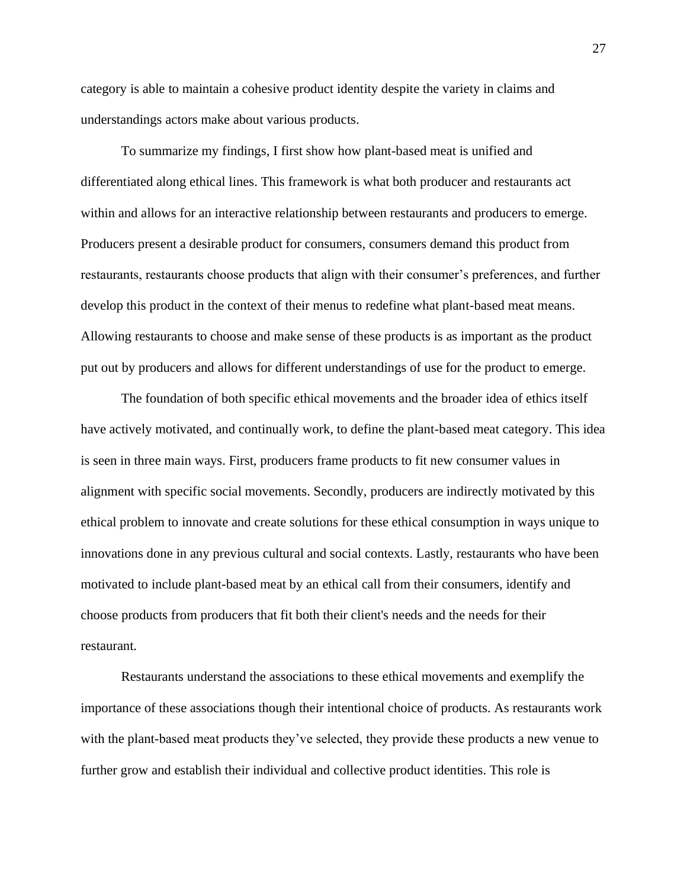category is able to maintain a cohesive product identity despite the variety in claims and understandings actors make about various products.

To summarize my findings, I first show how plant-based meat is unified and differentiated along ethical lines. This framework is what both producer and restaurants act within and allows for an interactive relationship between restaurants and producers to emerge. Producers present a desirable product for consumers, consumers demand this product from restaurants, restaurants choose products that align with their consumer's preferences, and further develop this product in the context of their menus to redefine what plant-based meat means. Allowing restaurants to choose and make sense of these products is as important as the product put out by producers and allows for different understandings of use for the product to emerge.

The foundation of both specific ethical movements and the broader idea of ethics itself have actively motivated, and continually work, to define the plant-based meat category. This idea is seen in three main ways. First, producers frame products to fit new consumer values in alignment with specific social movements. Secondly, producers are indirectly motivated by this ethical problem to innovate and create solutions for these ethical consumption in ways unique to innovations done in any previous cultural and social contexts. Lastly, restaurants who have been motivated to include plant-based meat by an ethical call from their consumers, identify and choose products from producers that fit both their client's needs and the needs for their restaurant.

Restaurants understand the associations to these ethical movements and exemplify the importance of these associations though their intentional choice of products. As restaurants work with the plant-based meat products they've selected, they provide these products a new venue to further grow and establish their individual and collective product identities. This role is

27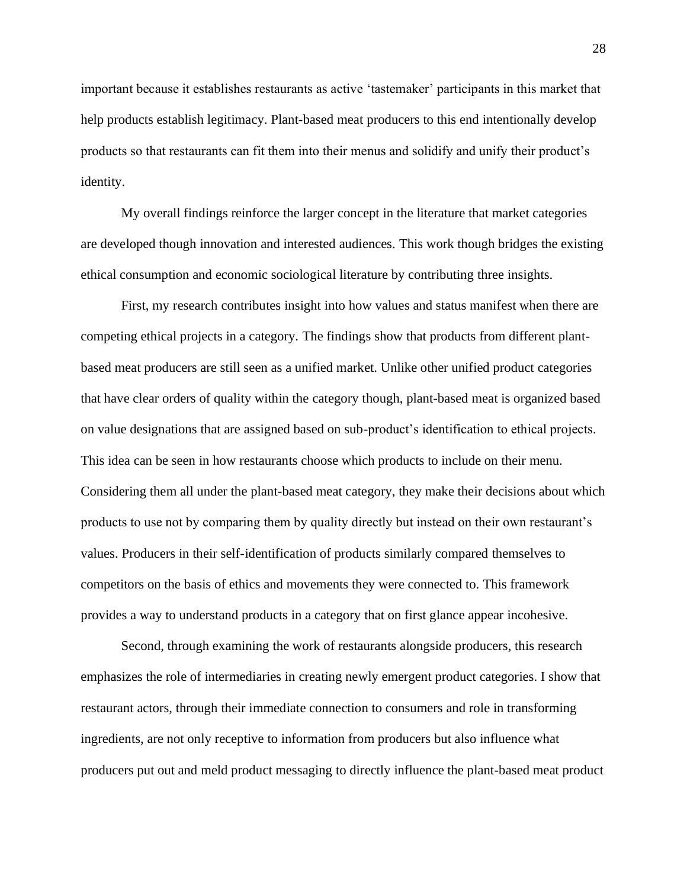important because it establishes restaurants as active 'tastemaker' participants in this market that help products establish legitimacy. Plant-based meat producers to this end intentionally develop products so that restaurants can fit them into their menus and solidify and unify their product's identity.

My overall findings reinforce the larger concept in the literature that market categories are developed though innovation and interested audiences. This work though bridges the existing ethical consumption and economic sociological literature by contributing three insights.

First, my research contributes insight into how values and status manifest when there are competing ethical projects in a category. The findings show that products from different plantbased meat producers are still seen as a unified market. Unlike other unified product categories that have clear orders of quality within the category though, plant-based meat is organized based on value designations that are assigned based on sub-product's identification to ethical projects. This idea can be seen in how restaurants choose which products to include on their menu. Considering them all under the plant-based meat category, they make their decisions about which products to use not by comparing them by quality directly but instead on their own restaurant's values. Producers in their self-identification of products similarly compared themselves to competitors on the basis of ethics and movements they were connected to. This framework provides a way to understand products in a category that on first glance appear incohesive.

Second, through examining the work of restaurants alongside producers, this research emphasizes the role of intermediaries in creating newly emergent product categories. I show that restaurant actors, through their immediate connection to consumers and role in transforming ingredients, are not only receptive to information from producers but also influence what producers put out and meld product messaging to directly influence the plant-based meat product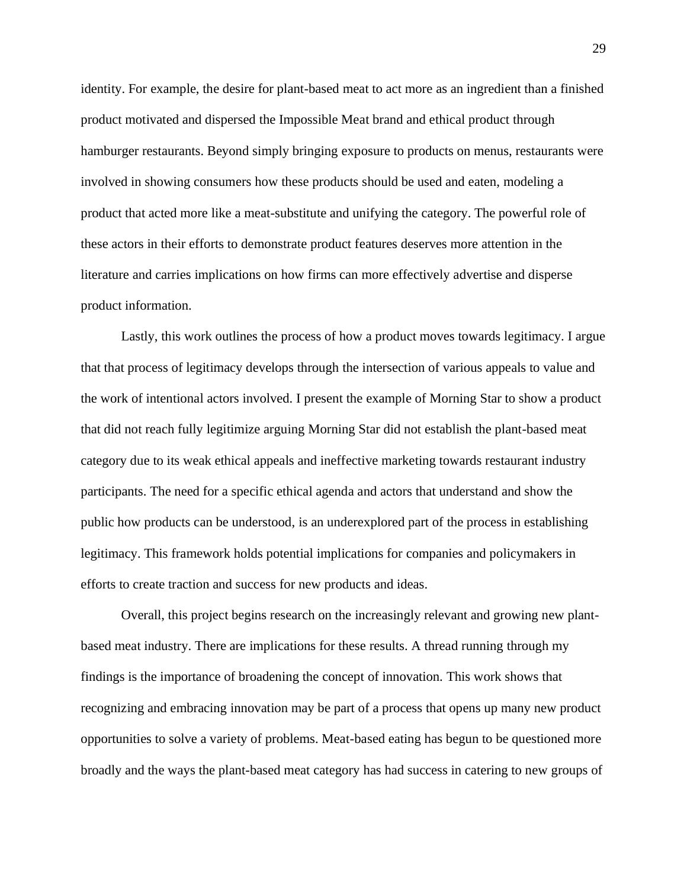identity. For example, the desire for plant-based meat to act more as an ingredient than a finished product motivated and dispersed the Impossible Meat brand and ethical product through hamburger restaurants. Beyond simply bringing exposure to products on menus, restaurants were involved in showing consumers how these products should be used and eaten, modeling a product that acted more like a meat-substitute and unifying the category. The powerful role of these actors in their efforts to demonstrate product features deserves more attention in the literature and carries implications on how firms can more effectively advertise and disperse product information.

Lastly, this work outlines the process of how a product moves towards legitimacy. I argue that that process of legitimacy develops through the intersection of various appeals to value and the work of intentional actors involved. I present the example of Morning Star to show a product that did not reach fully legitimize arguing Morning Star did not establish the plant-based meat category due to its weak ethical appeals and ineffective marketing towards restaurant industry participants. The need for a specific ethical agenda and actors that understand and show the public how products can be understood, is an underexplored part of the process in establishing legitimacy. This framework holds potential implications for companies and policymakers in efforts to create traction and success for new products and ideas.

Overall, this project begins research on the increasingly relevant and growing new plantbased meat industry. There are implications for these results. A thread running through my findings is the importance of broadening the concept of innovation. This work shows that recognizing and embracing innovation may be part of a process that opens up many new product opportunities to solve a variety of problems. Meat-based eating has begun to be questioned more broadly and the ways the plant-based meat category has had success in catering to new groups of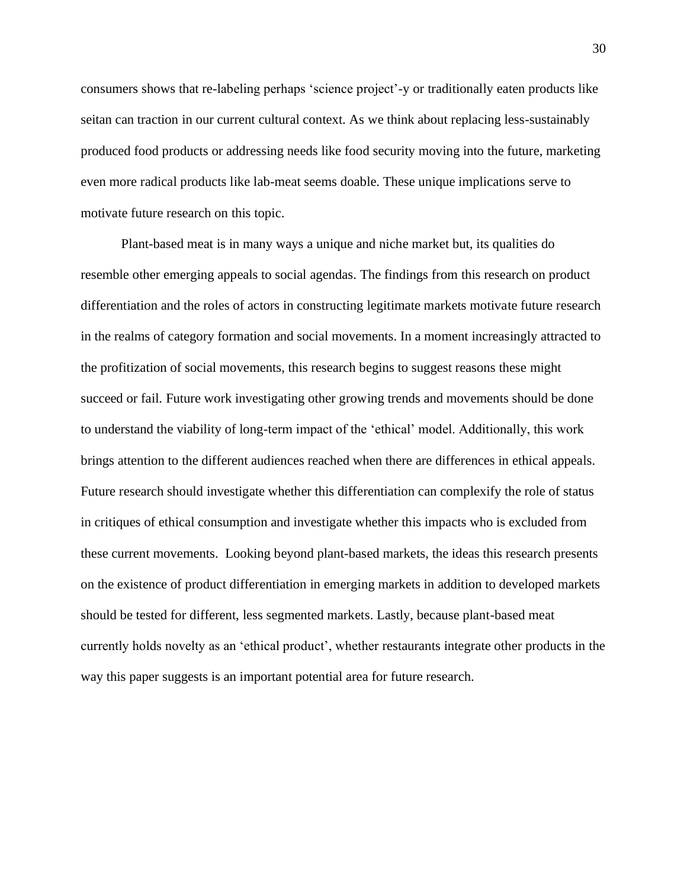consumers shows that re-labeling perhaps 'science project'-y or traditionally eaten products like seitan can traction in our current cultural context. As we think about replacing less-sustainably produced food products or addressing needs like food security moving into the future, marketing even more radical products like lab-meat seems doable. These unique implications serve to motivate future research on this topic.

Plant-based meat is in many ways a unique and niche market but, its qualities do resemble other emerging appeals to social agendas. The findings from this research on product differentiation and the roles of actors in constructing legitimate markets motivate future research in the realms of category formation and social movements. In a moment increasingly attracted to the profitization of social movements, this research begins to suggest reasons these might succeed or fail. Future work investigating other growing trends and movements should be done to understand the viability of long-term impact of the 'ethical' model. Additionally, this work brings attention to the different audiences reached when there are differences in ethical appeals. Future research should investigate whether this differentiation can complexify the role of status in critiques of ethical consumption and investigate whether this impacts who is excluded from these current movements. Looking beyond plant-based markets, the ideas this research presents on the existence of product differentiation in emerging markets in addition to developed markets should be tested for different, less segmented markets. Lastly, because plant-based meat currently holds novelty as an 'ethical product', whether restaurants integrate other products in the way this paper suggests is an important potential area for future research.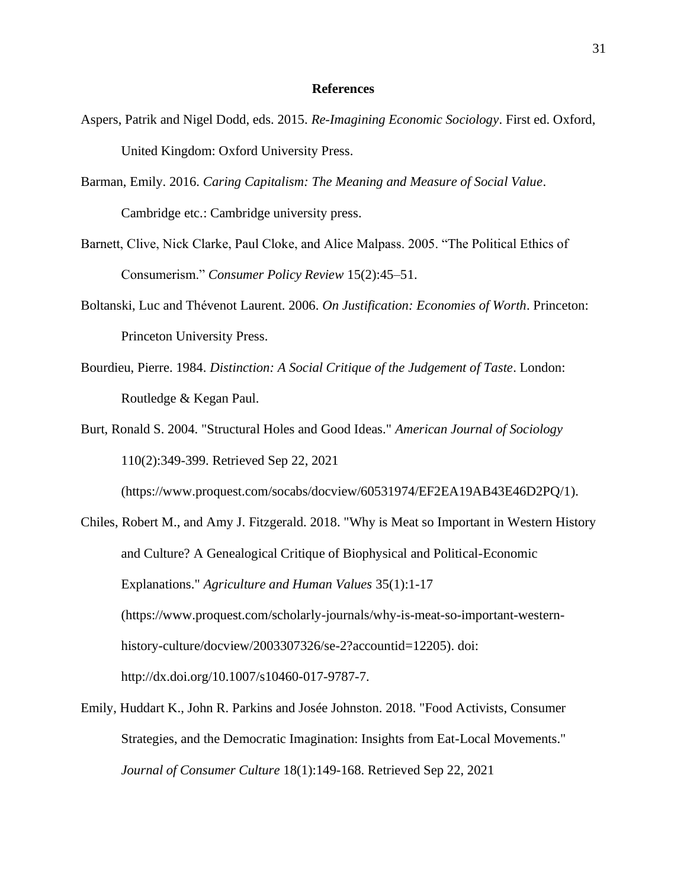#### **References**

- Aspers, Patrik and Nigel Dodd, eds. 2015. *Re-Imagining Economic Sociology*. First ed. Oxford, United Kingdom: Oxford University Press.
- Barman, Emily. 2016. *Caring Capitalism: The Meaning and Measure of Social Value*. Cambridge etc.: Cambridge university press.
- Barnett, Clive, Nick Clarke, Paul Cloke, and Alice Malpass. 2005. "The Political Ethics of Consumerism." *Consumer Policy Review* 15(2):45–51.
- Boltanski, Luc and Thévenot Laurent. 2006. *On Justification: Economies of Worth*. Princeton: Princeton University Press.
- Bourdieu, Pierre. 1984. *Distinction: A Social Critique of the Judgement of Taste*. London: Routledge & Kegan Paul.
- Burt, Ronald S. 2004. "Structural Holes and Good Ideas." *American Journal of Sociology* 110(2):349-399. Retrieved Sep 22, 2021

[\(https://www.proquest.com/socabs/docview/60531974/EF2EA19AB43E46D2PQ/1\)](https://www.proquest.com/socabs/docview/60531974/EF2EA19AB43E46D2PQ/1).

- Chiles, Robert M., and Amy J. Fitzgerald. 2018. "Why is Meat so Important in Western History and Culture? A Genealogical Critique of Biophysical and Political-Economic Explanations." *Agriculture and Human Values* 35(1):1-17 (https://www.proquest.com/scholarly-journals/why-is-meat-so-important-westernhistory-culture/docview/2003307326/se-2?accountid=12205). doi: http://dx.doi.org/10.1007/s10460-017-9787-7.
- Emily, Huddart K., John R. Parkins and Josée Johnston. 2018. "Food Activists, Consumer Strategies, and the Democratic Imagination: Insights from Eat-Local Movements." *Journal of Consumer Culture* 18(1):149-168. Retrieved Sep 22, 2021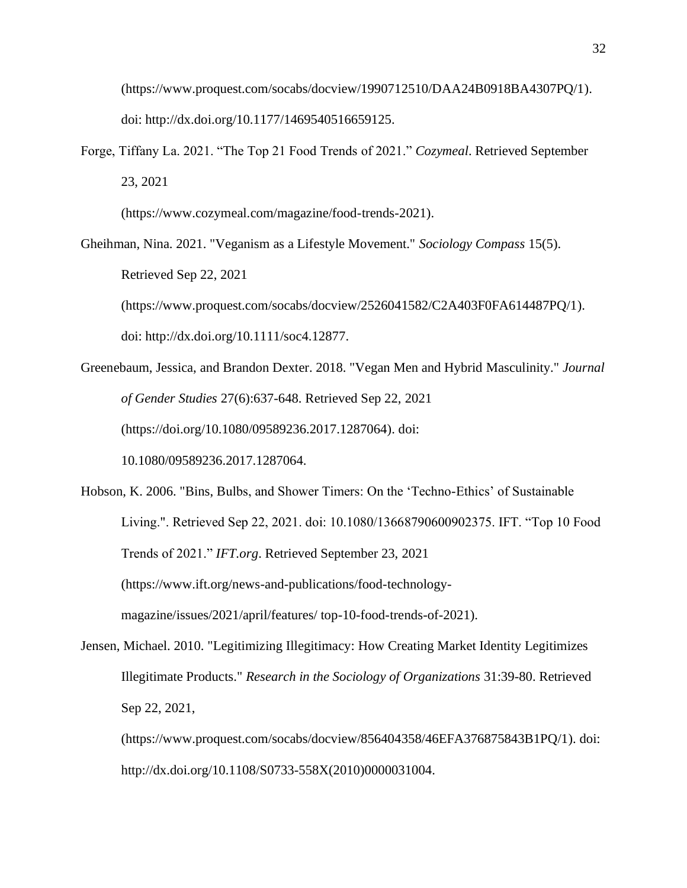[\(https://www.proquest.com/socabs/docview/1990712510/DAA24B0918BA4307PQ/1\)](https://www.proquest.com/socabs/docview/1990712510/DAA24B0918BA4307PQ/1). doi: http://dx.doi.org/10.1177/1469540516659125.

Forge, Tiffany La. 2021. "The Top 21 Food Trends of 2021." *Cozymeal*. Retrieved September 23, 2021

(https://www.cozymeal.com/magazine/food-trends-2021).

Gheihman, Nina. 2021. "Veganism as a Lifestyle Movement." *Sociology Compass* 15(5). Retrieved Sep 22, 2021 [\(https://www.proquest.com/socabs/docview/2526041582/C2A403F0FA614487PQ/1\)](https://www.proquest.com/socabs/docview/2526041582/C2A403F0FA614487PQ/1).

doi: [http://dx.doi.org/10.1111/soc4.12877.](http://dx.doi.org/10.1111/soc4.12877)

- Greenebaum, Jessica, and Brandon Dexter. 2018. "Vegan Men and Hybrid Masculinity." *Journal of Gender Studies* 27(6):637-648. Retrieved Sep 22, 2021 [\(https://doi.org/10.1080/09589236.2017.1287064\)](https://doi.org/10.1080/09589236.2017.1287064). doi: 10.1080/09589236.2017.1287064.
- Hobson, K. 2006. "Bins, Bulbs, and Shower Timers: On the 'Techno-Ethics' of Sustainable Living.". Retrieved Sep 22, 2021. doi: 10.1080/13668790600902375. IFT. "Top 10 Food Trends of 2021." *IFT.org*. Retrieved September 23, 2021 (https://www.ift.org/news-and-publications/food-technologymagazine/issues/2021/april/features/ top-10-food-trends-of-2021).
- Jensen, Michael. 2010. "Legitimizing Illegitimacy: How Creating Market Identity Legitimizes Illegitimate Products." *Research in the Sociology of Organizations* 31:39-80. Retrieved Sep 22, 2021,

[\(https://www.proquest.com/socabs/docview/856404358/46EFA376875843B1PQ/1\)](https://www.proquest.com/socabs/docview/856404358/46EFA376875843B1PQ/1). doi: [http://dx.doi.org/10.1108/S0733-558X\(2010\)0000031004.](http://dx.doi.org/10.1108/S0733-558X(2010)0000031004)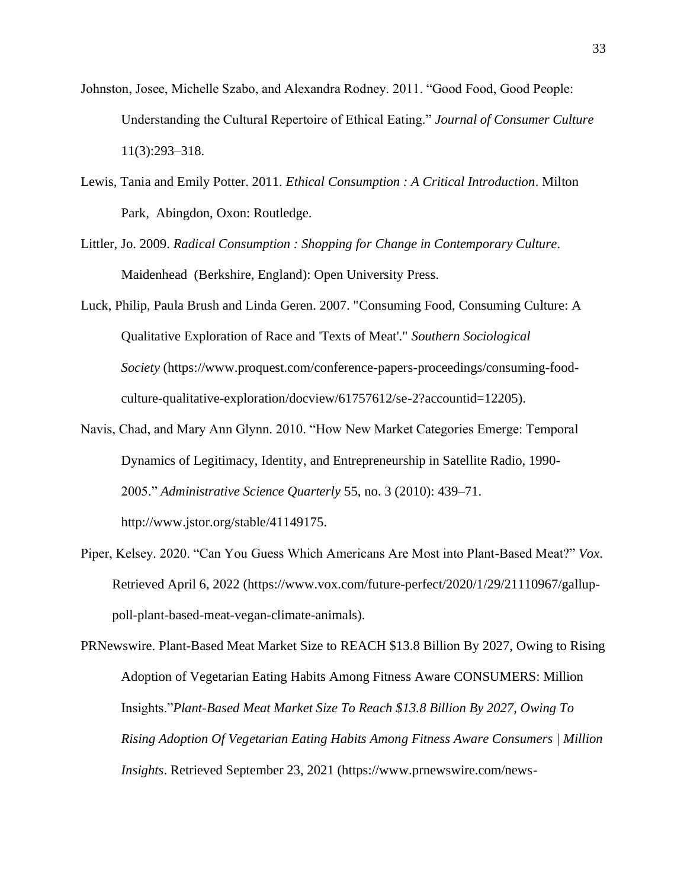- Johnston, Josee, Michelle Szabo, and Alexandra Rodney. 2011. "Good Food, Good People: Understanding the Cultural Repertoire of Ethical Eating." *Journal of Consumer Culture* 11(3):293–318.
- Lewis, Tania and Emily Potter. 2011. *Ethical Consumption : A Critical Introduction*. Milton Park, Abingdon, Oxon: Routledge.
- Littler, Jo. 2009. *Radical Consumption : Shopping for Change in Contemporary Culture*. Maidenhead (Berkshire, England): Open University Press.
- Luck, Philip, Paula Brush and Linda Geren. 2007. "Consuming Food, Consuming Culture: A Qualitative Exploration of Race and 'Texts of Meat'." *Southern Sociological Society* (https://www.proquest.com/conference-papers-proceedings/consuming-foodculture-qualitative-exploration/docview/61757612/se-2?accountid=12205).
- Navis, Chad, and Mary Ann Glynn. 2010. "How New Market Categories Emerge: Temporal Dynamics of Legitimacy, Identity, and Entrepreneurship in Satellite Radio, 1990- 2005." *Administrative Science Quarterly* 55, no. 3 (2010): 439–71. http://www.jstor.org/stable/41149175.
- Piper, Kelsey. 2020. "Can You Guess Which Americans Are Most into Plant-Based Meat?" *Vox*. Retrieved April 6, 2022 (https://www.vox.com/future-perfect/2020/1/29/21110967/galluppoll-plant-based-meat-vegan-climate-animals).

PRNewswire. Plant-Based Meat Market Size to REACH \$13.8 Billion By 2027, Owing to Rising Adoption of Vegetarian Eating Habits Among Fitness Aware CONSUMERS: Million Insights."*Plant-Based Meat Market Size To Reach \$13.8 Billion By 2027, Owing To Rising Adoption Of Vegetarian Eating Habits Among Fitness Aware Consumers | Million Insights*. Retrieved September 23, 2021 (https://www.prnewswire.com/news